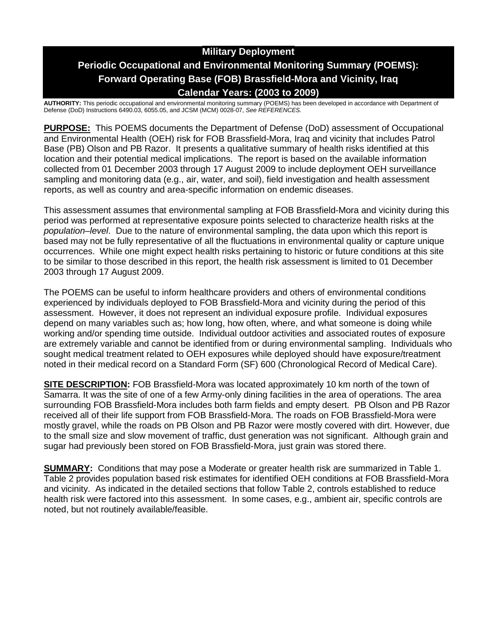# **Military Deployment Periodic Occupational and Environmental Monitoring Summary (POEMS): Forward Operating Base (FOB) Brassfield-Mora and Vicinity, Iraq Calendar Years: (2003 to 2009)**

**AUTHORITY:** This periodic occupational and environmental monitoring summary (POEMS) has been developed in accordance with Department of Defense (DoD) Instructions 6490.03, 6055.05, and JCSM (MCM) 0028-07, *See REFERENCES.*

**PURPOSE:** This POEMS documents the Department of Defense (DoD) assessment of Occupational and Environmental Health (OEH) risk for FOB Brassfield-Mora, Iraq and vicinity that includes Patrol Base (PB) Olson and PB Razor. It presents a qualitative summary of health risks identified at this location and their potential medical implications. The report is based on the available information collected from 01 December 2003 through 17 August 2009 to include deployment OEH surveillance sampling and monitoring data (e.g., air, water, and soil), field investigation and health assessment reports, as well as country and area-specific information on endemic diseases.

This assessment assumes that environmental sampling at FOB Brassfield-Mora and vicinity during this period was performed at representative exposure points selected to characterize health risks at the *population–level*. Due to the nature of environmental sampling, the data upon which this report is based may not be fully representative of all the fluctuations in environmental quality or capture unique occurrences. While one might expect health risks pertaining to historic or future conditions at this site to be similar to those described in this report, the health risk assessment is limited to 01 December 2003 through 17 August 2009.

The POEMS can be useful to inform healthcare providers and others of environmental conditions experienced by individuals deployed to FOB Brassfield-Mora and vicinity during the period of this assessment. However, it does not represent an individual exposure profile. Individual exposures depend on many variables such as; how long, how often, where, and what someone is doing while working and/or spending time outside. Individual outdoor activities and associated routes of exposure are extremely variable and cannot be identified from or during environmental sampling. Individuals who sought medical treatment related to OEH exposures while deployed should have exposure/treatment noted in their medical record on a Standard Form (SF) 600 (Chronological Record of Medical Care).

**SITE DESCRIPTION:** FOB Brassfield-Mora was located approximately 10 km north of the town of Samarra. It was the site of one of a few Army-only dining facilities in the area of operations. The area surrounding FOB Brassfield-Mora includes both farm fields and empty desert. PB Olson and PB Razor received all of their life support from FOB Brassfield-Mora. The roads on FOB Brassfield-Mora were mostly gravel, while the roads on PB Olson and PB Razor were mostly covered with dirt. However, due to the small size and slow movement of traffic, dust generation was not significant. Although grain and sugar had previously been stored on FOB Brassfield-Mora, just grain was stored there.

**SUMMARY:** Conditions that may pose a Moderate or greater health risk are summarized in Table 1. Table 2 provides population based risk estimates for identified OEH conditions at FOB Brassfield-Mora and vicinity. As indicated in the detailed sections that follow Table 2, controls established to reduce health risk were factored into this assessment. In some cases, e.g., ambient air, specific controls are noted, but not routinely available/feasible.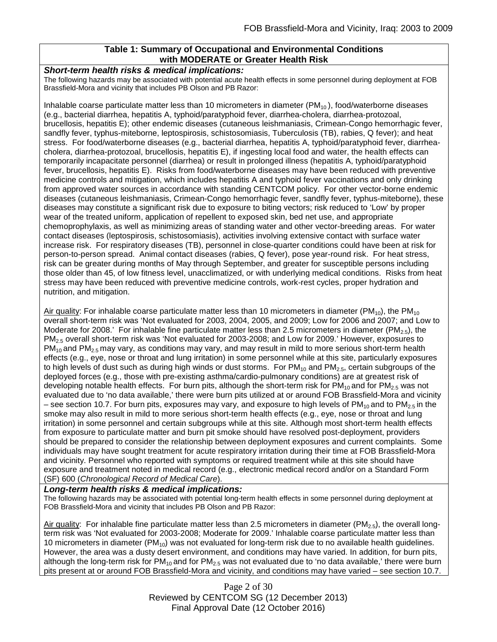## **Table 1: Summary of Occupational and Environmental Conditions with MODERATE or Greater Health Risk**

#### *Short-term health risks & medical implications:*

The following hazards may be associated with potential acute health effects in some personnel during deployment at FOB Brassfield-Mora and vicinity that includes PB Olson and PB Razor:

Inhalable coarse particulate matter less than 10 micrometers in diameter  $(PM<sub>10</sub>)$ , food/waterborne diseases (e.g., bacterial diarrhea, hepatitis A, typhoid/paratyphoid fever, diarrhea-cholera, diarrhea-protozoal, brucellosis, hepatitis E); other endemic diseases (cutaneous leishmaniasis, Crimean-Congo hemorrhagic fever, sandfly fever, typhus-miteborne, leptospirosis, schistosomiasis, Tuberculosis (TB), rabies, Q fever); and heat stress. For food/waterborne diseases (e.g., bacterial diarrhea, hepatitis A, typhoid/paratyphoid fever, diarrheacholera, diarrhea-protozoal, brucellosis, hepatitis E), if ingesting local food and water, the health effects can temporarily incapacitate personnel (diarrhea) or result in prolonged illness (hepatitis A, typhoid/paratyphoid fever, brucellosis, hepatitis E). Risks from food/waterborne diseases may have been reduced with preventive medicine controls and mitigation, which includes hepatitis A and typhoid fever vaccinations and only drinking from approved water sources in accordance with standing CENTCOM policy. For other vector-borne endemic diseases (cutaneous leishmaniasis, Crimean-Congo hemorrhagic fever, sandfly fever, typhus-miteborne), these diseases may constitute a significant risk due to exposure to biting vectors; risk reduced to 'Low' by proper wear of the treated uniform, application of repellent to exposed skin, bed net use, and appropriate chemoprophylaxis, as well as minimizing areas of standing water and other vector-breeding areas. For water contact diseases (leptospirosis, schistosomiasis), activities involving extensive contact with surface water increase risk. For respiratory diseases (TB), personnel in close-quarter conditions could have been at risk for person-to-person spread. Animal contact diseases (rabies, Q fever), pose year-round risk. For heat stress, risk can be greater during months of May through September, and greater for susceptible persons including those older than 45, of low fitness level, unacclimatized, or with underlying medical conditions. Risks from heat stress may have been reduced with preventive medicine controls, work-rest cycles, proper hydration and nutrition, and mitigation.

Air quality: For inhalable coarse particulate matter less than 10 micrometers in diameter ( $PM_{10}$ ), the PM<sub>10</sub> overall short-term risk was 'Not evaluated for 2003, 2004, 2005, and 2009; Low for 2006 and 2007; and Low to Moderate for 2008.' For inhalable fine particulate matter less than 2.5 micrometers in diameter ( $PM_{2.5}$ ), the PM2.5 overall short-term risk was 'Not evaluated for 2003-2008; and Low for 2009.' However, exposures to  $PM_{10}$  and PM<sub>2.5</sub> may vary, as conditions may vary, and may result in mild to more serious short-term health effects (e.g., eye, nose or throat and lung irritation) in some personnel while at this site, particularly exposures to high levels of dust such as during high winds or dust storms. For  $PM_{10}$  and  $PM_{2.5}$ , certain subgroups of the deployed forces (e.g., those with pre-existing asthma/cardio-pulmonary conditions) are at greatest risk of developing notable health effects. For burn pits, although the short-term risk for  $PM_{10}$  and for  $PM_{2.5}$  was not evaluated due to 'no data available,' there were burn pits utilized at or around FOB Brassfield-Mora and vicinity – see section 10.7. For burn pits, exposures may vary, and exposure to high levels of PM<sub>10</sub> and to PM<sub>2.5</sub> in the smoke may also result in mild to more serious short-term health effects (e.g., eye, nose or throat and lung irritation) in some personnel and certain subgroups while at this site. Although most short-term health effects from exposure to particulate matter and burn pit smoke should have resolved post-deployment, providers should be prepared to consider the relationship between deployment exposures and current complaints. Some individuals may have sought treatment for acute respiratory irritation during their time at FOB Brassfield-Mora and vicinity. Personnel who reported with symptoms or required treatment while at this site should have exposure and treatment noted in medical record (e.g., electronic medical record and/or on a Standard Form (SF) 600 (*Chronological Record of Medical Care*).

#### *Long-term health risks & medical implications:*

The following hazards may be associated with potential long-term health effects in some personnel during deployment at FOB Brassfield-Mora and vicinity that includes PB Olson and PB Razor:

Air quality: For inhalable fine particulate matter less than 2.5 micrometers in diameter (PM<sub>2.5</sub>), the overall longterm risk was 'Not evaluated for 2003-2008; Moderate for 2009.' Inhalable coarse particulate matter less than 10 micrometers in diameter (PM<sub>10</sub>) was not evaluated for long-term risk due to no available health guidelines. However, the area was a dusty desert environment, and conditions may have varied. In addition, for burn pits, although the long-term risk for  $PM_{10}$  and for  $PM_{2.5}$  was not evaluated due to 'no data available,' there were burn pits present at or around FOB Brassfield-Mora and vicinity, and conditions may have varied – see section 10.7.

> Page 2 of 30 Reviewed by CENTCOM SG (12 December 2013) Final Approval Date (12 October 2016)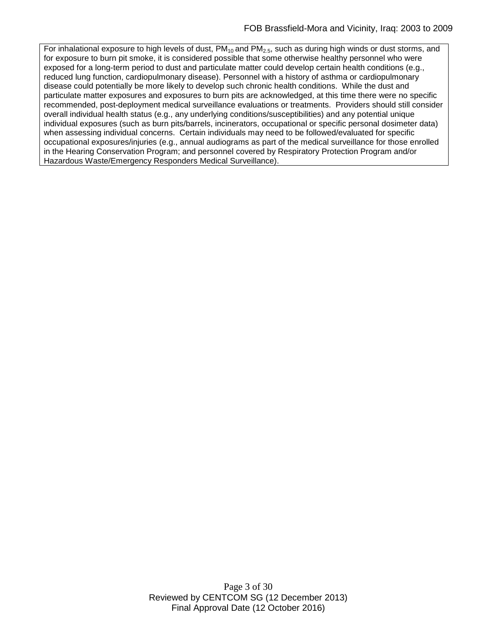For inhalational exposure to high levels of dust,  $PM_{10}$  and  $PM_{2.5}$ , such as during high winds or dust storms, and for exposure to burn pit smoke, it is considered possible that some otherwise healthy personnel who were exposed for a long-term period to dust and particulate matter could develop certain health conditions (e.g., reduced lung function, cardiopulmonary disease). Personnel with a history of asthma or cardiopulmonary disease could potentially be more likely to develop such chronic health conditions. While the dust and particulate matter exposures and exposures to burn pits are acknowledged, at this time there were no specific recommended, post-deployment medical surveillance evaluations or treatments. Providers should still consider overall individual health status (e.g., any underlying conditions/susceptibilities) and any potential unique individual exposures (such as burn pits/barrels, incinerators, occupational or specific personal dosimeter data) when assessing individual concerns. Certain individuals may need to be followed/evaluated for specific occupational exposures/injuries (e.g., annual audiograms as part of the medical surveillance for those enrolled in the Hearing Conservation Program; and personnel covered by Respiratory Protection Program and/or Hazardous Waste/Emergency Responders Medical Surveillance).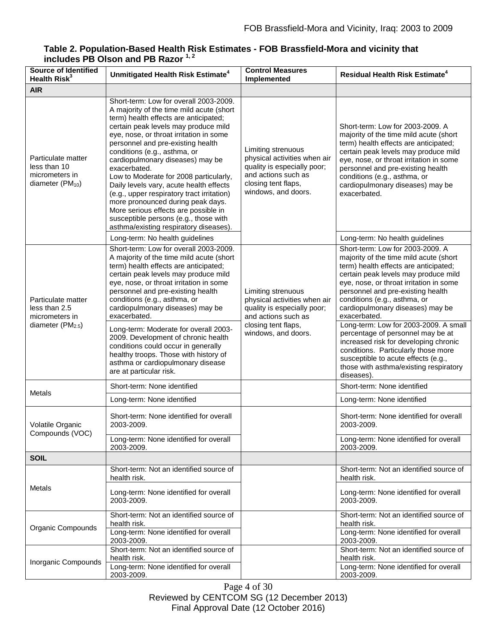#### **Source of Identified Unmitigated Health Risk Estimate<sup>4</sup> Control Measures Control Measures Implemented Residual Health Risk Estimate<sup>4</sup> AIR** Particulate matter less than 10 micrometers in diameter  $(PM_{10})$ Short-term: Low for overall 2003-2009. A majority of the time mild acute (short term) health effects are anticipated; certain peak levels may produce mild eye, nose, or throat irritation in some personnel and pre-existing health conditions (e.g., asthma, or cardiopulmonary diseases) may be exacerbated. Low to Moderate for 2008 particularly, Daily levels vary, acute health effects (e.g., upper respiratory tract irritation) more pronounced during peak days. More serious effects are possible in susceptible persons (e.g., those with asthma/existing respiratory diseases). Limiting strenuous physical activities when air quality is especially poor; and actions such as closing tent flaps, windows, and doors. Short-term: Low for 2003-2009. A majority of the time mild acute (short term) health effects are anticipated; certain peak levels may produce mild eye, nose, or throat irritation in some personnel and pre-existing health conditions (e.g., asthma, or cardiopulmonary diseases) may be exacerbated. Long-term: No health guidelines Long-term: No health guidelines Long-term: No health guidelines Particulate matter less than 2.5 micrometers in diameter  $(PM_{2.5})$ Short-term: Low for overall 2003-2009. A majority of the time mild acute (short term) health effects are anticipated; certain peak levels may produce mild eye, nose, or throat irritation in some personnel and pre-existing health conditions (e.g., asthma, or cardiopulmonary diseases) may be exacerbated. Limiting strenuous physical activities when air quality is especially poor; and actions such as closing tent flaps, windows, and doors. Short-term: Low for 2003-2009. A majority of the time mild acute (short term) health effects are anticipated; certain peak levels may produce mild eye, nose, or throat irritation in some personnel and pre-existing health conditions (e.g., asthma, or cardiopulmonary diseases) may be exacerbated. Long-term: Moderate for overall 2003- 2009. Development of chronic health conditions could occur in generally healthy troops. Those with history of asthma or cardiopulmonary disease are at particular risk. Long-term: Low for 2003-2009. A small percentage of personnel may be at increased risk for developing chronic conditions. Particularly those more susceptible to acute effects (e.g., those with asthma/existing respiratory diseases). Metals Short-term: None identified Short-term: None identified Long-term: None identified **Long-term: None identified** Long-term: None identified Volatile Organic Compounds (VOC) Short-term: None identified for overall 2003-2009. Short-term: None identified for overall 2003-2009. Long-term: None identified for overall 2003-2009. Long-term: None identified for overall 2003-2009. **SOIL** Metals Short-term: Not an identified source of health risk. Short-term: Not an identified source of health risk. Long-term: None identified for overall 2003-2009. Long-term: None identified for overall 2003-2009. Organic Compounds Short-term: Not an identified source of health risk. Short-term: Not an identified source of health risk. Long-term: None identified for overall 2003-2009. Long-term: None identified for overall 2003-2009. Inorganic Compounds Short-term: Not an identified source of health risk. Short-term: Not an identified source of health risk. Long-term: None identified for overall 2003-2009. Long-term: None identified for overall 2003-2009.

### **Table 2. Population-Based Health Risk Estimates - FOB Brassfield-Mora and vicinity that includes PB Olson and PB Razor 1, 2**

Page 4 of 30 Reviewed by CENTCOM SG (12 December 2013) Final Approval Date (12 October 2016)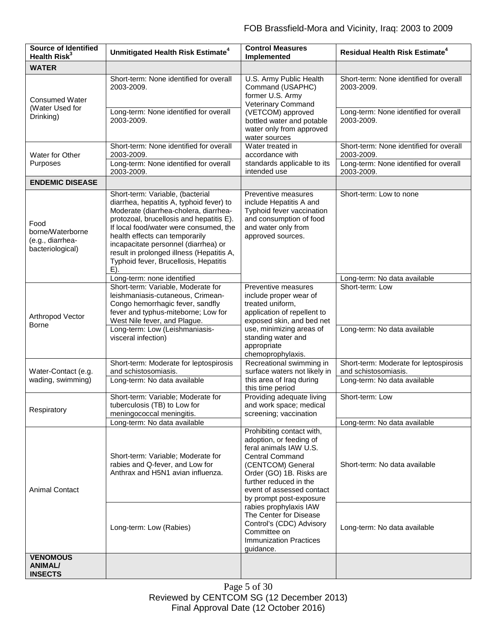| <b>Source of Identified</b><br>Health Risk <sup>3</sup>          | Unmitigated Health Risk Estimate <sup>4</sup>                                                                                                                                                                                                                                                                                                                                         | <b>Control Measures</b><br>Implemented                                                                                                                                                                                                      | <b>Residual Health Risk Estimate<sup>4</sup></b>               |
|------------------------------------------------------------------|---------------------------------------------------------------------------------------------------------------------------------------------------------------------------------------------------------------------------------------------------------------------------------------------------------------------------------------------------------------------------------------|---------------------------------------------------------------------------------------------------------------------------------------------------------------------------------------------------------------------------------------------|----------------------------------------------------------------|
| <b>WATER</b>                                                     |                                                                                                                                                                                                                                                                                                                                                                                       |                                                                                                                                                                                                                                             |                                                                |
| <b>Consumed Water</b><br>(Water Used for<br>Drinking)            | Short-term: None identified for overall<br>2003-2009.                                                                                                                                                                                                                                                                                                                                 | U.S. Army Public Health<br>Command (USAPHC)<br>former U.S. Army<br><b>Veterinary Command</b>                                                                                                                                                | Short-term: None identified for overall<br>2003-2009.          |
|                                                                  | Long-term: None identified for overall<br>2003-2009.                                                                                                                                                                                                                                                                                                                                  | (VETCOM) approved<br>bottled water and potable<br>water only from approved<br>water sources                                                                                                                                                 | Long-term: None identified for overall<br>2003-2009.           |
| Water for Other<br>Purposes                                      | Short-term: None identified for overall<br>2003-2009.                                                                                                                                                                                                                                                                                                                                 | Water treated in<br>accordance with<br>standards applicable to its<br>intended use                                                                                                                                                          | Short-term: None identified for overall<br>2003-2009.          |
|                                                                  | Long-term: None identified for overall<br>2003-2009.                                                                                                                                                                                                                                                                                                                                  |                                                                                                                                                                                                                                             | Long-term: None identified for overall<br>2003-2009.           |
| <b>ENDEMIC DISEASE</b>                                           |                                                                                                                                                                                                                                                                                                                                                                                       |                                                                                                                                                                                                                                             |                                                                |
| Food<br>borne/Waterborne<br>(e.g., diarrhea-<br>bacteriological) | Short-term: Variable, (bacterial<br>diarrhea, hepatitis A, typhoid fever) to<br>Moderate (diarrhea-cholera, diarrhea-<br>protozoal, brucellosis and hepatitis E).<br>If local food/water were consumed, the<br>health effects can temporarily<br>incapacitate personnel (diarrhea) or<br>result in prolonged illness (Hepatitis A,<br>Typhoid fever, Brucellosis, Hepatitis<br>$E$ ). | Preventive measures<br>include Hepatitis A and<br>Typhoid fever vaccination<br>and consumption of food<br>and water only from<br>approved sources.                                                                                          | Short-term: Low to none                                        |
|                                                                  | Long-term: none identified                                                                                                                                                                                                                                                                                                                                                            |                                                                                                                                                                                                                                             | Long-term: No data available                                   |
| Arthropod Vector<br><b>Borne</b>                                 | Short-term: Variable, Moderate for<br>leishmaniasis-cutaneous, Crimean-<br>Congo hemorrhagic fever, sandfly<br>fever and typhus-miteborne; Low for<br>West Nile fever, and Plague.                                                                                                                                                                                                    | Preventive measures<br>include proper wear of<br>treated uniform,<br>application of repellent to<br>exposed skin, and bed net                                                                                                               | Short-term: Low                                                |
|                                                                  | Long-term: Low (Leishmaniasis-<br>visceral infection)                                                                                                                                                                                                                                                                                                                                 | use, minimizing areas of<br>standing water and<br>appropriate<br>chemoprophylaxis.                                                                                                                                                          | Long-term: No data available                                   |
| Water-Contact (e.g.                                              | Short-term: Moderate for leptospirosis<br>and schistosomiasis.                                                                                                                                                                                                                                                                                                                        | Recreational swimming in<br>surface waters not likely in<br>this area of Iraq during<br>this time period                                                                                                                                    | Short-term: Moderate for leptospirosis<br>and schistosomiasis. |
| wading, swimming)                                                | Long-term: No data available                                                                                                                                                                                                                                                                                                                                                          |                                                                                                                                                                                                                                             | Long-term: No data available                                   |
| Respiratory                                                      | Short-term: Variable; Moderate for<br>tuberculosis (TB) to Low for<br>meningococcal meningitis.                                                                                                                                                                                                                                                                                       | Providing adequate living<br>and work space; medical<br>screening; vaccination                                                                                                                                                              | Short-term: Low                                                |
|                                                                  | Long-term: No data available                                                                                                                                                                                                                                                                                                                                                          |                                                                                                                                                                                                                                             | Long-term: No data available                                   |
| <b>Animal Contact</b>                                            | Short-term: Variable; Moderate for<br>rabies and Q-fever, and Low for<br>Anthrax and H5N1 avian influenza.                                                                                                                                                                                                                                                                            | Prohibiting contact with,<br>adoption, or feeding of<br>feral animals IAW U.S.<br><b>Central Command</b><br>(CENTCOM) General<br>Order (GO) 1B. Risks are<br>further reduced in the<br>event of assessed contact<br>by prompt post-exposure | Short-term: No data available                                  |
|                                                                  | Long-term: Low (Rabies)                                                                                                                                                                                                                                                                                                                                                               | rabies prophylaxis IAW<br>The Center for Disease<br>Control's (CDC) Advisory<br>Committee on<br><b>Immunization Practices</b><br>guidance.                                                                                                  | Long-term: No data available                                   |
| <b>VENOMOUS</b><br><b>ANIMAL/</b><br><b>INSECTS</b>              |                                                                                                                                                                                                                                                                                                                                                                                       |                                                                                                                                                                                                                                             |                                                                |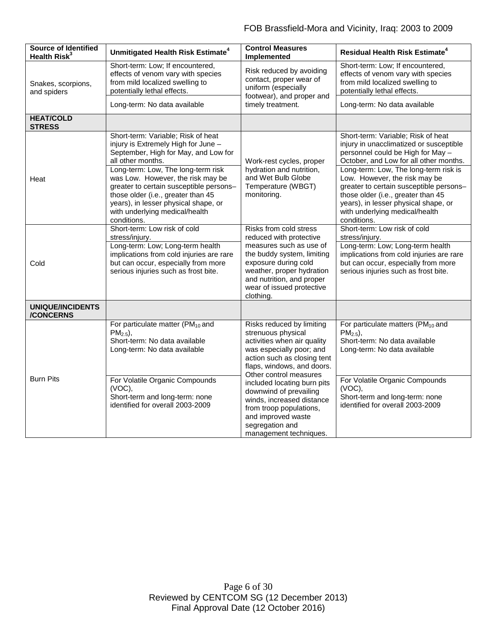| <b>Source of Identified</b><br>Health Risk <sup>3</sup> | Unmitigated Health Risk Estimate <sup>4</sup>                                                                                                                                                                                                                                                                                                                                                                               | <b>Control Measures</b><br>Implemented                                                                                                                                                                                                                                                                                                                                                | <b>Residual Health Risk Estimate<sup>4</sup></b>                                                                                                                                                                                                                                                                                                                                                                                                 |
|---------------------------------------------------------|-----------------------------------------------------------------------------------------------------------------------------------------------------------------------------------------------------------------------------------------------------------------------------------------------------------------------------------------------------------------------------------------------------------------------------|---------------------------------------------------------------------------------------------------------------------------------------------------------------------------------------------------------------------------------------------------------------------------------------------------------------------------------------------------------------------------------------|--------------------------------------------------------------------------------------------------------------------------------------------------------------------------------------------------------------------------------------------------------------------------------------------------------------------------------------------------------------------------------------------------------------------------------------------------|
| Snakes, scorpions,<br>and spiders                       | Short-term: Low; If encountered,<br>effects of venom vary with species<br>from mild localized swelling to<br>potentially lethal effects.                                                                                                                                                                                                                                                                                    | Risk reduced by avoiding<br>contact, proper wear of<br>uniform (especially<br>footwear), and proper and<br>timely treatment.                                                                                                                                                                                                                                                          | Short-term: Low; If encountered,<br>effects of venom vary with species<br>from mild localized swelling to<br>potentially lethal effects.                                                                                                                                                                                                                                                                                                         |
|                                                         | Long-term: No data available                                                                                                                                                                                                                                                                                                                                                                                                |                                                                                                                                                                                                                                                                                                                                                                                       | Long-term: No data available                                                                                                                                                                                                                                                                                                                                                                                                                     |
| <b>HEAT/COLD</b><br><b>STRESS</b>                       |                                                                                                                                                                                                                                                                                                                                                                                                                             |                                                                                                                                                                                                                                                                                                                                                                                       |                                                                                                                                                                                                                                                                                                                                                                                                                                                  |
| Heat                                                    | Short-term: Variable; Risk of heat<br>injury is Extremely High for June -<br>September, High for May, and Low for<br>all other months.<br>Long-term: Low, The long-term risk<br>was Low. However, the risk may be<br>greater to certain susceptible persons-<br>those older (i.e., greater than 45<br>years), in lesser physical shape, or<br>with underlying medical/health<br>conditions.<br>Short-term: Low risk of cold | Work-rest cycles, proper<br>hydration and nutrition,<br>and Wet Bulb Globe<br>Temperature (WBGT)<br>monitoring.<br>Risks from cold stress                                                                                                                                                                                                                                             | Short-term: Variable; Risk of heat<br>injury in unacclimatized or susceptible<br>personnel could be High for May -<br>October, and Low for all other months.<br>Long-term: Low, The long-term risk is<br>Low. However, the risk may be<br>greater to certain susceptible persons-<br>those older (i.e., greater than 45<br>years), in lesser physical shape, or<br>with underlying medical/health<br>conditions.<br>Short-term: Low risk of cold |
| Cold                                                    | stress/injury.<br>Long-term: Low; Long-term health<br>implications from cold injuries are rare<br>but can occur, especially from more<br>serious injuries such as frost bite.                                                                                                                                                                                                                                               | reduced with protective<br>measures such as use of<br>the buddy system, limiting<br>exposure during cold<br>weather, proper hydration<br>and nutrition, and proper<br>wear of issued protective<br>clothing.                                                                                                                                                                          | stress/injury.<br>Long-term: Low; Long-term health<br>implications from cold injuries are rare<br>but can occur, especially from more<br>serious injuries such as frost bite.                                                                                                                                                                                                                                                                    |
| <b>UNIQUE/INCIDENTS</b><br><b>/CONCERNS</b>             |                                                                                                                                                                                                                                                                                                                                                                                                                             |                                                                                                                                                                                                                                                                                                                                                                                       |                                                                                                                                                                                                                                                                                                                                                                                                                                                  |
| <b>Burn Pits</b>                                        | For particulate matter (PM <sub>10</sub> and<br>$PM_{2.5}$ ).<br>Short-term: No data available<br>Long-term: No data available<br>For Volatile Organic Compounds                                                                                                                                                                                                                                                            | Risks reduced by limiting<br>strenuous physical<br>activities when air quality<br>was especially poor; and<br>action such as closing tent<br>flaps, windows, and doors.<br>Other control measures<br>included locating burn pits<br>downwind of prevailing<br>winds, increased distance<br>from troop populations,<br>and improved waste<br>segregation and<br>management techniques. | For particulate matters (PM <sub>10</sub> and<br>$PM_{2.5}$ ).<br>Short-term: No data available<br>Long-term: No data available<br>For Volatile Organic Compounds                                                                                                                                                                                                                                                                                |
|                                                         | $(VOC)$ ,<br>Short-term and long-term: none<br>identified for overall 2003-2009                                                                                                                                                                                                                                                                                                                                             |                                                                                                                                                                                                                                                                                                                                                                                       | $(VOC)$ ,<br>Short-term and long-term: none<br>identified for overall 2003-2009                                                                                                                                                                                                                                                                                                                                                                  |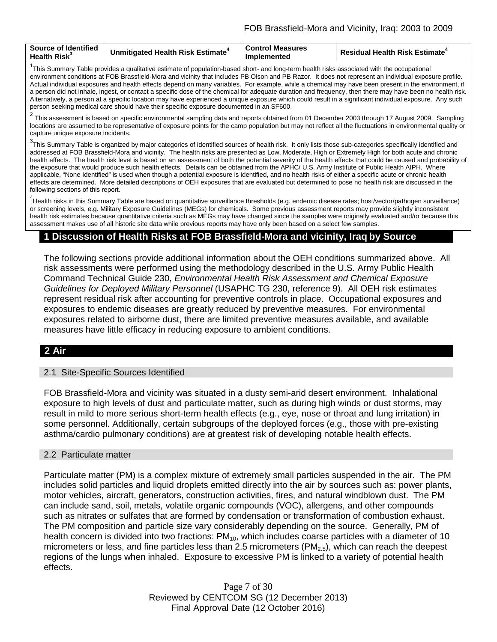| <b>Source of Identified</b><br><b>Health Risk</b> | Unmitigated Health Risk Estimate <sup>+</sup> | <b>Control Measures</b><br><b>Implemented</b> | <b>Residual Health Risk Estimate<sup>4</sup></b> |
|---------------------------------------------------|-----------------------------------------------|-----------------------------------------------|--------------------------------------------------|
|                                                   |                                               |                                               |                                                  |

<sup>1</sup>This Summary Table provides a qualitative estimate of population-based short- and long-term health risks associated with the occupational environment conditions at FOB Brassfield-Mora and vicinity that includes PB Olson and PB Razor. It does not represent an individual exposure profile. Actual individual exposures and health effects depend on many variables. For example, while a chemical may have been present in the environment, if a person did not inhale, ingest, or contact a specific dose of the chemical for adequate duration and frequency, then there may have been no health risk. Alternatively, a person at a specific location may have experienced a unique exposure which could result in a significant individual exposure. Any such person seeking medical care should have their specific exposure documented in an SF600.

<sup>2</sup> This assessment is based on specific environmental sampling data and reports obtained from 01 December 2003 through 17 August 2009. Sampling locations are assumed to be representative of exposure points for the camp population but may not reflect all the fluctuations in environmental quality or capture unique exposure incidents.

<sup>3</sup>This Summary Table is organized by major categories of identified sources of health risk. It only lists those sub-categories specifically identified and addressed at FOB Brassfield-Mora and vicinity. The health risks are presented as Low, Moderate, High or Extremely High for both acute and chronic health effects. The health risk level is based on an assessment of both the potential severity of the health effects that could be caused and probability of the exposure that would produce such health effects. Details can be obtained from the APHC/ U.S. Army Institute of Public Health AIPH. Where applicable, "None Identified" is used when though a potential exposure is identified, and no health risks of either a specific acute or chronic health effects are determined. More detailed descriptions of OEH exposures that are evaluated but determined to pose no health risk are discussed in the following sections of this report.

<sup>4</sup>Health risks in this Summary Table are based on quantitative surveillance thresholds (e.g. endemic disease rates; host/vector/pathogen surveillance) or screening levels, e.g. Military Exposure Guidelines (MEGs) for chemicals*.* Some previous assessment reports may provide slightly inconsistent health risk estimates because quantitative criteria such as MEGs may have changed since the samples were originally evaluated and/or because this assessment makes use of all historic site data while previous reports may have only been based on a select few samples.

## **1 Discussion of Health Risks at FOB Brassfield-Mora and vicinity, Iraq by Source**

The following sections provide additional information about the OEH conditions summarized above. All risk assessments were performed using the methodology described in the U.S. Army Public Health Command Technical Guide 230, *Environmental Health Risk Assessment and Chemical Exposure Guidelines for Deployed Military Personnel* (USAPHC TG 230, reference 9). All OEH risk estimates represent residual risk after accounting for preventive controls in place. Occupational exposures and exposures to endemic diseases are greatly reduced by preventive measures. For environmental exposures related to airborne dust, there are limited preventive measures available, and available measures have little efficacy in reducing exposure to ambient conditions.

# **2 Air**

#### 2.1 Site-Specific Sources Identified

FOB Brassfield-Mora and vicinity was situated in a dusty semi-arid desert environment. Inhalational exposure to high levels of dust and particulate matter, such as during high winds or dust storms, may result in mild to more serious short-term health effects (e.g., eye, nose or throat and lung irritation) in some personnel. Additionally, certain subgroups of the deployed forces (e.g., those with pre-existing asthma/cardio pulmonary conditions) are at greatest risk of developing notable health effects.

#### 2.2 Particulate matter

Particulate matter (PM) is a complex mixture of extremely small particles suspended in the air. The PM includes solid particles and liquid droplets emitted directly into the air by sources such as: power plants, motor vehicles, aircraft, generators, construction activities, fires, and natural windblown dust. The PM can include sand, soil, metals, volatile organic compounds (VOC), allergens, and other compounds such as nitrates or sulfates that are formed by condensation or transformation of combustion exhaust. The PM composition and particle size vary considerably depending on the source. Generally, PM of health concern is divided into two fractions:  $PM_{10}$ , which includes coarse particles with a diameter of 10 micrometers or less, and fine particles less than 2.5 micrometers  $(PM_{2.5})$ , which can reach the deepest regions of the lungs when inhaled. Exposure to excessive PM is linked to a variety of potential health effects.

> Page 7 of 30 Reviewed by CENTCOM SG (12 December 2013) Final Approval Date (12 October 2016)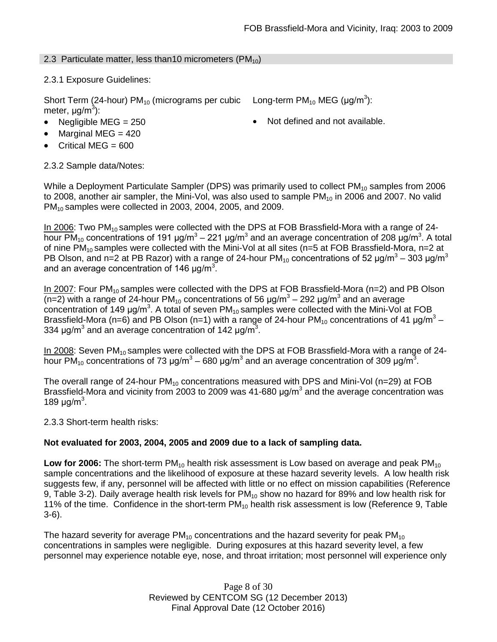Long-term PM<sub>10</sub> MEG (µg/m<sup>3</sup>):

## 2.3 Particulate matter, less than 10 micrometers ( $PM_{10}$ )

## 2.3.1 Exposure Guidelines:

Short Term (24-hour)  $PM_{10}$  (micrograms per cubic meter, μg/m<sup>3</sup>):

- Negligible MEG = 250 **•** Not defined and not available.
- Marginal MEG  $=$  420
- Critical MEG = 600

2.3.2 Sample data/Notes:

While a Deployment Particulate Sampler (DPS) was primarily used to collect  $PM_{10}$  samples from 2006 to 2008, another air sampler, the Mini-Vol, was also used to sample  $PM_{10}$  in 2006 and 2007. No valid PM<sub>10</sub> samples were collected in 2003, 2004, 2005, and 2009.

In 2006: Two  $PM_{10}$  samples were collected with the DPS at FOB Brassfield-Mora with a range of 24hour PM<sub>10</sub> concentrations of 191 µg/m<sup>3</sup> – 221 µg/m<sup>3</sup> and an average concentration of 208 µg/m<sup>3</sup>. A total of nine PM<sub>10</sub> samples were collected with the Mini-Vol at all sites (n=5 at FOB Brassfield-Mora, n=2 at PB Olson, and n=2 at PB Razor) with a range of 24-hour PM<sub>10</sub> concentrations of 52  $\mu q/m^3 - 303 \mu q/m^3$ and an average concentration of 146  $\mu$ g/m<sup>3</sup>.

In 2007: Four  $PM_{10}$  samples were collected with the DPS at FOB Brassfield-Mora ( $n=2$ ) and PB Olson  $\frac{1}{2}$  with a range of 24-hour PM<sub>10</sub> concentrations of 56 µg/m<sup>3</sup> – 292 µg/m<sup>3</sup> and an average concentration of 149 μg/m<sup>3</sup>. A total of seven PM<sub>10</sub> samples were collected with the Mini-Vol at FOB Brassfield-Mora (n=6) and PB Olson (n=1) with a range of 24-hour PM<sub>10</sub> concentrations of 41  $\mu$ g/m<sup>3</sup> – 334  $\mu$ g/m<sup>3</sup> and an average concentration of 142  $\mu$ g/m<sup>3</sup>.

In 2008: Seven PM<sub>10</sub> samples were collected with the DPS at FOB Brassfield-Mora with a range of 24hour PM<sub>10</sub> concentrations of 73 μg/m<sup>3</sup> – 680 μg/m<sup>3</sup> and an average concentration of 309 μg/m<sup>3</sup>.

The overall range of 24-hour  $PM_{10}$  concentrations measured with DPS and Mini-Vol (n=29) at FOB Brassfield-Mora and vicinity from 2003 to 2009 was 41-680  $\mu$ g/m<sup>3</sup> and the average concentration was 189  $\mu$ g/m<sup>3</sup>.

2.3.3 Short-term health risks:

## **Not evaluated for 2003, 2004, 2005 and 2009 due to a lack of sampling data.**

**Low for 2006:** The short-term PM<sub>10</sub> health risk assessment is Low based on average and peak PM<sub>10</sub> sample concentrations and the likelihood of exposure at these hazard severity levels. A low health risk suggests few, if any, personnel will be affected with little or no effect on mission capabilities (Reference 9, Table 3-2). Daily average health risk levels for  $PM_{10}$  show no hazard for 89% and low health risk for 11% of the time. Confidence in the short-term  $PM_{10}$  health risk assessment is low (Reference 9, Table 3-6).

The hazard severity for average  $PM_{10}$  concentrations and the hazard severity for peak  $PM_{10}$ concentrations in samples were negligible. During exposures at this hazard severity level, a few personnel may experience notable eye, nose, and throat irritation; most personnel will experience only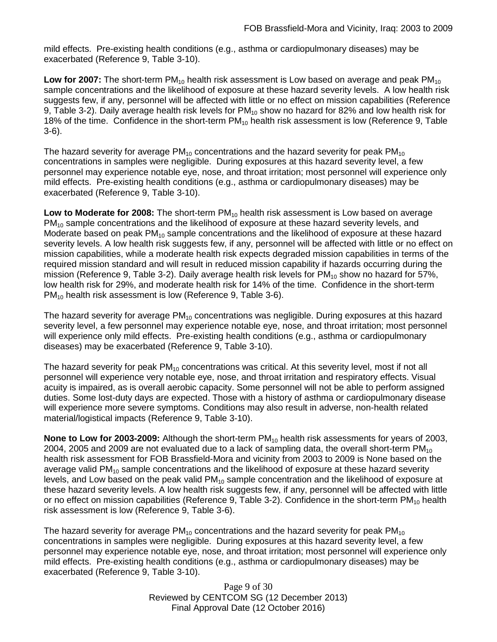mild effects. Pre-existing health conditions (e.g., asthma or cardiopulmonary diseases) may be exacerbated (Reference 9, Table 3-10).

**Low for 2007:** The short-term PM<sub>10</sub> health risk assessment is Low based on average and peak PM<sub>10</sub> sample concentrations and the likelihood of exposure at these hazard severity levels. A low health risk suggests few, if any, personnel will be affected with little or no effect on mission capabilities (Reference 9, Table 3-2). Daily average health risk levels for  $PM_{10}$  show no hazard for 82% and low health risk for 18% of the time. Confidence in the short-term  $PM_{10}$  health risk assessment is low (Reference 9, Table 3-6).

The hazard severity for average  $PM_{10}$  concentrations and the hazard severity for peak  $PM_{10}$ concentrations in samples were negligible. During exposures at this hazard severity level, a few personnel may experience notable eye, nose, and throat irritation; most personnel will experience only mild effects. Pre-existing health conditions (e.g., asthma or cardiopulmonary diseases) may be exacerbated (Reference 9, Table 3-10).

Low to Moderate for 2008: The short-term PM<sub>10</sub> health risk assessment is Low based on average  $PM_{10}$  sample concentrations and the likelihood of exposure at these hazard severity levels, and Moderate based on peak  $PM_{10}$  sample concentrations and the likelihood of exposure at these hazard severity levels. A low health risk suggests few, if any, personnel will be affected with little or no effect on mission capabilities, while a moderate health risk expects degraded mission capabilities in terms of the required mission standard and will result in reduced mission capability if hazards occurring during the mission (Reference 9, Table 3-2). Daily average health risk levels for  $PM_{10}$  show no hazard for 57%, low health risk for 29%, and moderate health risk for 14% of the time. Confidence in the short-term PM<sub>10</sub> health risk assessment is low (Reference 9, Table 3-6).

The hazard severity for average  $PM_{10}$  concentrations was negligible. During exposures at this hazard severity level, a few personnel may experience notable eye, nose, and throat irritation; most personnel will experience only mild effects. Pre-existing health conditions (e.g., asthma or cardiopulmonary diseases) may be exacerbated (Reference 9, Table 3-10).

The hazard severity for peak  $PM_{10}$  concentrations was critical. At this severity level, most if not all personnel will experience very notable eye, nose, and throat irritation and respiratory effects. Visual acuity is impaired, as is overall aerobic capacity. Some personnel will not be able to perform assigned duties. Some lost-duty days are expected. Those with a history of asthma or cardiopulmonary disease will experience more severe symptoms. Conditions may also result in adverse, non-health related material/logistical impacts (Reference 9, Table 3-10).

**None to Low for 2003-2009:** Although the short-term PM<sub>10</sub> health risk assessments for years of 2003, 2004, 2005 and 2009 are not evaluated due to a lack of sampling data, the overall short-term  $PM_{10}$ health risk assessment for FOB Brassfield-Mora and vicinity from 2003 to 2009 is None based on the average valid  $PM_{10}$  sample concentrations and the likelihood of exposure at these hazard severity levels, and Low based on the peak valid  $PM_{10}$  sample concentration and the likelihood of exposure at these hazard severity levels. A low health risk suggests few, if any, personnel will be affected with little or no effect on mission capabilities (Reference 9, Table 3-2). Confidence in the short-term  $PM_{10}$  health risk assessment is low (Reference 9, Table 3-6).

The hazard severity for average  $PM_{10}$  concentrations and the hazard severity for peak  $PM_{10}$ concentrations in samples were negligible. During exposures at this hazard severity level, a few personnel may experience notable eye, nose, and throat irritation; most personnel will experience only mild effects. Pre-existing health conditions (e.g., asthma or cardiopulmonary diseases) may be exacerbated (Reference 9, Table 3-10).

> Page 9 of 30 Reviewed by CENTCOM SG (12 December 2013) Final Approval Date (12 October 2016)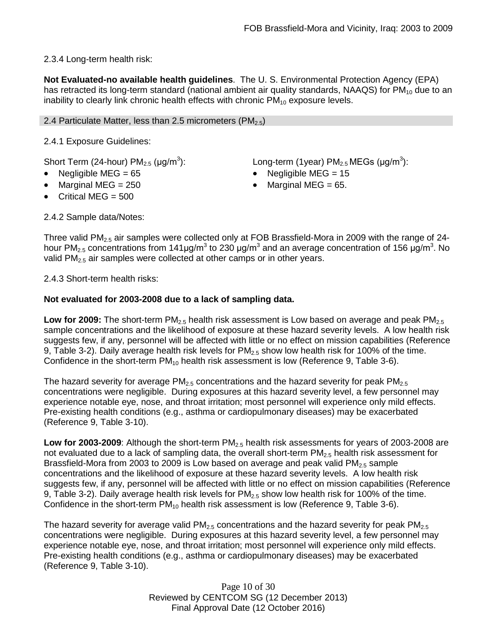2.3.4 Long-term health risk:

**Not Evaluated-no available health guidelines**. The U. S. Environmental Protection Agency (EPA) has retracted its long-term standard (national ambient air quality standards, NAAQS) for  $PM_{10}$  due to an inability to clearly link chronic health effects with chronic  $PM_{10}$  exposure levels.

## 2.4 Particulate Matter, less than 2.5 micrometers (PM<sub>2.5</sub>)

2.4.1 Exposure Guidelines:

Short Term (24-hour)  $PM<sub>2.5</sub>$  ( $\mu$ g/m<sup>3</sup>):

- 
- Marginal MEG =  $250$  Marginal MEG =  $65$ .
- Critical MEG = 500

): Long-term (1year)  $PM_{2.5}$  MEGs (µg/m<sup>3</sup>):

- Negligible MEG = 65 Negligible MEG = 15
	-

2.4.2 Sample data/Notes:

Three valid PM<sub>2.5</sub> air samples were collected only at FOB Brassfield-Mora in 2009 with the range of 24hour PM<sub>2.5</sub> concentrations from 141μg/m<sup>3</sup> to 230 μg/m<sup>3</sup> and an average concentration of 156 μg/m<sup>3</sup>. No valid PM<sub>2.5</sub> air samples were collected at other camps or in other years.

2.4.3 Short-term health risks:

## **Not evaluated for 2003-2008 due to a lack of sampling data.**

**Low for 2009:** The short-term PM<sub>2.5</sub> health risk assessment is Low based on average and peak PM<sub>2.5</sub> sample concentrations and the likelihood of exposure at these hazard severity levels. A low health risk suggests few, if any, personnel will be affected with little or no effect on mission capabilities (Reference 9, Table 3-2). Daily average health risk levels for PM<sub>2.5</sub> show low health risk for 100% of the time. Confidence in the short-term  $PM_{10}$  health risk assessment is low (Reference 9, Table 3-6).

The hazard severity for average  $PM<sub>2.5</sub>$  concentrations and the hazard severity for peak  $PM<sub>2.5</sub>$ concentrations were negligible. During exposures at this hazard severity level, a few personnel may experience notable eye, nose, and throat irritation; most personnel will experience only mild effects. Pre-existing health conditions (e.g., asthma or cardiopulmonary diseases) may be exacerbated (Reference 9, Table 3-10).

**Low for 2003-2009**: Although the short-term PM<sub>2.5</sub> health risk assessments for years of 2003-2008 are not evaluated due to a lack of sampling data, the overall short-term  $PM_{2.5}$  health risk assessment for Brassfield-Mora from 2003 to 2009 is Low based on average and peak valid  $PM<sub>2.5</sub>$  sample concentrations and the likelihood of exposure at these hazard severity levels. A low health risk suggests few, if any, personnel will be affected with little or no effect on mission capabilities (Reference 9, Table 3-2). Daily average health risk levels for  $PM<sub>2.5</sub>$  show low health risk for 100% of the time. Confidence in the short-term  $PM_{10}$  health risk assessment is low (Reference 9, Table 3-6).

The hazard severity for average valid  $PM<sub>2.5</sub>$  concentrations and the hazard severity for peak  $PM<sub>2.5</sub>$ concentrations were negligible. During exposures at this hazard severity level, a few personnel may experience notable eye, nose, and throat irritation; most personnel will experience only mild effects. Pre-existing health conditions (e.g., asthma or cardiopulmonary diseases) may be exacerbated (Reference 9, Table 3-10).

> Page 10 of 30 Reviewed by CENTCOM SG (12 December 2013) Final Approval Date (12 October 2016)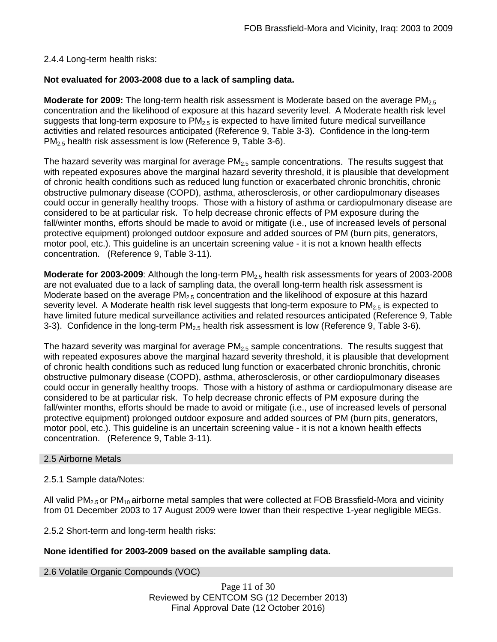## 2.4.4 Long-term health risks:

## **Not evaluated for 2003-2008 due to a lack of sampling data.**

**Moderate for 2009:** The long-term health risk assessment is Moderate based on the average PM<sub>2.5</sub> concentration and the likelihood of exposure at this hazard severity level. A Moderate health risk level suggests that long-term exposure to  $PM<sub>2.5</sub>$  is expected to have limited future medical surveillance activities and related resources anticipated (Reference 9, Table 3-3). Confidence in the long-term PM<sub>2.5</sub> health risk assessment is low (Reference 9, Table 3-6).

The hazard severity was marginal for average  $PM<sub>2.5</sub>$  sample concentrations. The results suggest that with repeated exposures above the marginal hazard severity threshold, it is plausible that development of chronic health conditions such as reduced lung function or exacerbated chronic bronchitis, chronic obstructive pulmonary disease (COPD), asthma, atherosclerosis, or other cardiopulmonary diseases could occur in generally healthy troops. Those with a history of asthma or cardiopulmonary disease are considered to be at particular risk. To help decrease chronic effects of PM exposure during the fall/winter months, efforts should be made to avoid or mitigate (i.e., use of increased levels of personal protective equipment) prolonged outdoor exposure and added sources of PM (burn pits, generators, motor pool, etc.). This guideline is an uncertain screening value - it is not a known health effects concentration. (Reference 9, Table 3-11).

**Moderate for 2003-2009**: Although the long-term PM<sub>2.5</sub> health risk assessments for years of 2003-2008 are not evaluated due to a lack of sampling data, the overall long-term health risk assessment is Moderate based on the average PM<sub>2.5</sub> concentration and the likelihood of exposure at this hazard severity level. A Moderate health risk level suggests that long-term exposure to  $PM_{2.5}$  is expected to have limited future medical surveillance activities and related resources anticipated (Reference 9, Table 3-3). Confidence in the long-term  $PM_{2.5}$  health risk assessment is low (Reference 9, Table 3-6).

The hazard severity was marginal for average  $PM<sub>2.5</sub>$  sample concentrations. The results suggest that with repeated exposures above the marginal hazard severity threshold, it is plausible that development of chronic health conditions such as reduced lung function or exacerbated chronic bronchitis, chronic obstructive pulmonary disease (COPD), asthma, atherosclerosis, or other cardiopulmonary diseases could occur in generally healthy troops. Those with a history of asthma or cardiopulmonary disease are considered to be at particular risk. To help decrease chronic effects of PM exposure during the fall/winter months, efforts should be made to avoid or mitigate (i.e., use of increased levels of personal protective equipment) prolonged outdoor exposure and added sources of PM (burn pits, generators, motor pool, etc.). This guideline is an uncertain screening value - it is not a known health effects concentration. (Reference 9, Table 3-11).

#### 2.5 Airborne Metals

#### 2.5.1 Sample data/Notes:

All valid  $PM_{2.5}$  or  $PM_{10}$  airborne metal samples that were collected at FOB Brassfield-Mora and vicinity from 01 December 2003 to 17 August 2009 were lower than their respective 1-year negligible MEGs.

2.5.2 Short-term and long-term health risks:

## **None identified for 2003-2009 based on the available sampling data.**

2.6 Volatile Organic Compounds (VOC)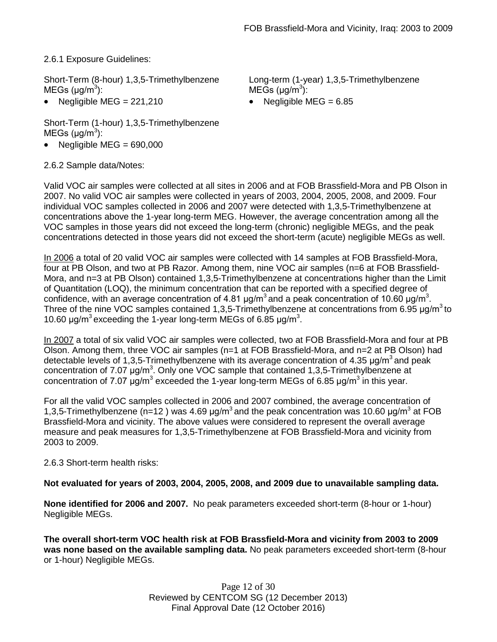2.6.1 Exposure Guidelines:

Short-Term (8-hour) 1,3,5-Trimethylbenzene  $MEGs (µg/m<sup>3</sup>)$ :

Negligible MEG =  $221,210$  • Negligible MEG =  $6.85$ 

Short-Term (1-hour) 1,3,5-Trimethylbenzene  $MEGs (µg/m<sup>3</sup>)$ :

Negligible MEG =  $690,000$ 

2.6.2 Sample data/Notes:

Long-term (1-year) 1,3,5-Trimethylbenzene  $MEGs (µg/m<sup>3</sup>)$ :

Valid VOC air samples were collected at all sites in 2006 and at FOB Brassfield-Mora and PB Olson in 2007. No valid VOC air samples were collected in years of 2003, 2004, 2005, 2008, and 2009. Four individual VOC samples collected in 2006 and 2007 were detected with 1,3,5-Trimethylbenzene at concentrations above the 1-year long-term MEG. However, the average concentration among all the VOC samples in those years did not exceed the long-term (chronic) negligible MEGs, and the peak concentrations detected in those years did not exceed the short-term (acute) negligible MEGs as well.

In 2006 a total of 20 valid VOC air samples were collected with 14 samples at FOB Brassfield-Mora, four at PB Olson, and two at PB Razor. Among them, nine VOC air samples (n=6 at FOB Brassfield-Mora, and n=3 at PB Olson) contained 1,3,5-Trimethylbenzene at concentrations higher than the Limit of Quantitation (LOQ), the minimum concentration that can be reported with a specified degree of confidence, with an average concentration of 4.81  $\mu$ g/m<sup>3</sup> and a peak concentration of 10.60  $\mu$ g/m<sup>3</sup>. Three of the nine VOC samples contained 1,3,5-Trimethylbenzene at concentrations from 6.95  $\mu q/m^3$  to 10.60  $\mu$ g/m<sup>3</sup> exceeding the 1-year long-term MEGs of 6.85  $\mu$ g/m<sup>3</sup>.

In 2007 a total of six valid VOC air samples were collected, two at FOB Brassfield-Mora and four at PB Olson. Among them, three VOC air samples (n=1 at FOB Brassfield-Mora, and n=2 at PB Olson) had detectable levels of 1,3,5-Trimethylbenzene with its average concentration of 4.35  $\mu$ g/m<sup>3</sup> and peak concentration of 7.07 μg/m<sup>3</sup>. Only one VOC sample that contained 1,3,5-Trimethylbenzene at concentration of 7.07  $\mu$ g/m<sup>3</sup> exceeded the 1-year long-term MEGs of 6.85  $\mu$ g/m<sup>3</sup> in this year.

For all the valid VOC samples collected in 2006 and 2007 combined, the average concentration of 1,3,5-Trimethylbenzene (n=12) was 4.69  $\mu$ g/m<sup>3</sup> and the peak concentration was 10.60  $\mu$ g/m<sup>3</sup> at FOB Brassfield-Mora and vicinity. The above values were considered to represent the overall average measure and peak measures for 1,3,5-Trimethylbenzene at FOB Brassfield-Mora and vicinity from 2003 to 2009.

# 2.6.3 Short-term health risks:

# **Not evaluated for years of 2003, 2004, 2005, 2008, and 2009 due to unavailable sampling data.**

**None identified for 2006 and 2007.** No peak parameters exceeded short-term (8-hour or 1-hour) Negligible MEGs.

**The overall short-term VOC health risk at FOB Brassfield-Mora and vicinity from 2003 to 2009 was none based on the available sampling data.** No peak parameters exceeded short-term (8-hour or 1-hour) Negligible MEGs.

> Page 12 of 30 Reviewed by CENTCOM SG (12 December 2013) Final Approval Date (12 October 2016)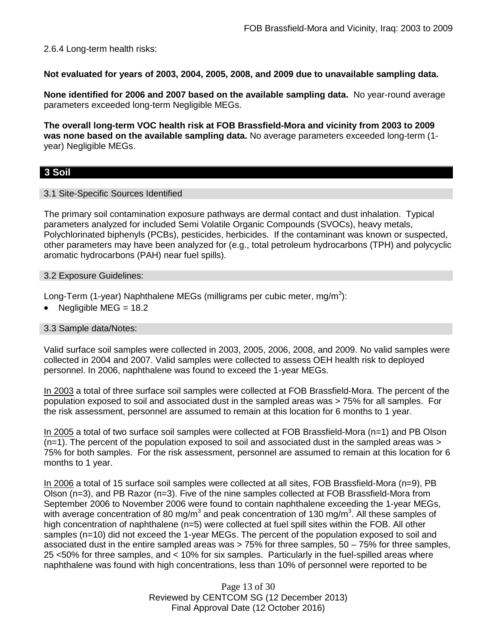2.6.4 Long-term health risks:

**Not evaluated for years of 2003, 2004, 2005, 2008, and 2009 due to unavailable sampling data.**

**None identified for 2006 and 2007 based on the available sampling data.** No year-round average parameters exceeded long-term Negligible MEGs.

**The overall long-term VOC health risk at FOB Brassfield-Mora and vicinity from 2003 to 2009 was none based on the available sampling data.** No average parameters exceeded long-term (1 year) Negligible MEGs.

# **3 Soil**

## 3.1 Site-Specific Sources Identified

The primary soil contamination exposure pathways are dermal contact and dust inhalation. Typical parameters analyzed for included Semi Volatile Organic Compounds (SVOCs), heavy metals, Polychlorinated biphenyls (PCBs), pesticides, herbicides. If the contaminant was known or suspected, other parameters may have been analyzed for (e.g., total petroleum hydrocarbons (TPH) and polycyclic aromatic hydrocarbons (PAH) near fuel spills).

## 3.2 Exposure Guidelines:

Long-Term (1-year) Naphthalene MEGs (milligrams per cubic meter, mg/m $^3$ ):

• Negligible MEG =  $18.2$ 

## 3.3 Sample data/Notes:

Valid surface soil samples were collected in 2003, 2005, 2006, 2008, and 2009. No valid samples were collected in 2004 and 2007. Valid samples were collected to assess OEH health risk to deployed personnel. In 2006, naphthalene was found to exceed the 1-year MEGs.

In 2003 a total of three surface soil samples were collected at FOB Brassfield-Mora. The percent of the population exposed to soil and associated dust in the sampled areas was > 75% for all samples. For the risk assessment, personnel are assumed to remain at this location for 6 months to 1 year.

In 2005 a total of two surface soil samples were collected at FOB Brassfield-Mora (n=1) and PB Olson  $(n=1)$ . The percent of the population exposed to soil and associated dust in the sampled areas was  $>$ 75% for both samples. For the risk assessment, personnel are assumed to remain at this location for 6 months to 1 year.

In 2006 a total of 15 surface soil samples were collected at all sites, FOB Brassfield-Mora (n=9), PB Olson (n=3), and PB Razor (n=3). Five of the nine samples collected at FOB Brassfield-Mora from September 2006 to November 2006 were found to contain naphthalene exceeding the 1-year MEGs, with average concentration of 80 mg/m<sup>3</sup> and peak concentration of 130 mg/m<sup>3</sup>. All these samples of high concentration of naphthalene (n=5) were collected at fuel spill sites within the FOB. All other samples (n=10) did not exceed the 1-year MEGs. The percent of the population exposed to soil and associated dust in the entire sampled areas was > 75% for three samples, 50 – 75% for three samples, 25 <50% for three samples, and < 10% for six samples. Particularly in the fuel-spilled areas where naphthalene was found with high concentrations, less than 10% of personnel were reported to be

> Page 13 of 30 Reviewed by CENTCOM SG (12 December 2013) Final Approval Date (12 October 2016)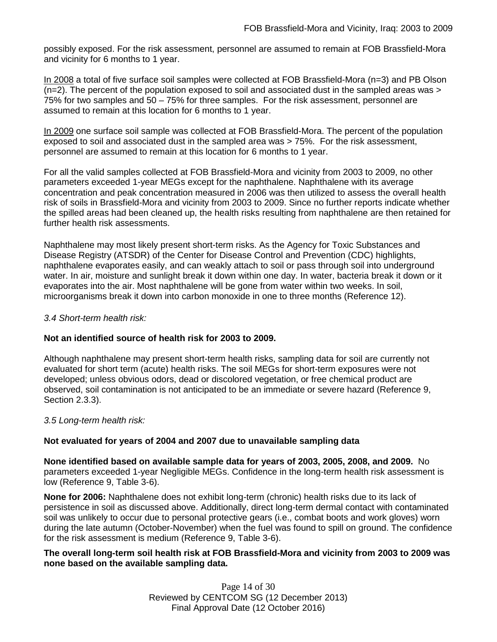possibly exposed. For the risk assessment, personnel are assumed to remain at FOB Brassfield-Mora and vicinity for 6 months to 1 year.

In 2008 a total of five surface soil samples were collected at FOB Brassfield-Mora (n=3) and PB Olson  $(n=2)$ . The percent of the population exposed to soil and associated dust in the sampled areas was  $>$ 75% for two samples and 50 – 75% for three samples. For the risk assessment, personnel are assumed to remain at this location for 6 months to 1 year.

In 2009 one surface soil sample was collected at FOB Brassfield-Mora. The percent of the population exposed to soil and associated dust in the sampled area was > 75%. For the risk assessment, personnel are assumed to remain at this location for 6 months to 1 year.

For all the valid samples collected at FOB Brassfield-Mora and vicinity from 2003 to 2009, no other parameters exceeded 1-year MEGs except for the naphthalene. Naphthalene with its average concentration and peak concentration measured in 2006 was then utilized to assess the overall health risk of soils in Brassfield-Mora and vicinity from 2003 to 2009. Since no further reports indicate whether the spilled areas had been cleaned up, the health risks resulting from naphthalene are then retained for further health risk assessments.

Naphthalene may most likely present short-term risks. As the Agency for Toxic Substances and Disease Registry (ATSDR) of the Center for Disease Control and Prevention (CDC) highlights, naphthalene evaporates easily, and can weakly attach to soil or pass through soil into underground water. In air, moisture and sunlight break it down within one day. In water, bacteria break it down or it evaporates into the air. Most naphthalene will be gone from water within two weeks. In soil, microorganisms break it down into carbon monoxide in one to three months (Reference 12).

## *3.4 Short-term health risk:*

## **Not an identified source of health risk for 2003 to 2009.**

Although naphthalene may present short-term health risks, sampling data for soil are currently not evaluated for short term (acute) health risks. The soil MEGs for short-term exposures were not developed; unless obvious odors, dead or discolored vegetation, or free chemical product are observed, soil contamination is not anticipated to be an immediate or severe hazard (Reference 9, Section 2.3.3).

#### *3.5 Long-term health risk:*

## **Not evaluated for years of 2004 and 2007 due to unavailable sampling data**

**None identified based on available sample data for years of 2003, 2005, 2008, and 2009.** No parameters exceeded 1-year Negligible MEGs. Confidence in the long-term health risk assessment is low (Reference 9, Table 3-6).

**None for 2006:** Naphthalene does not exhibit long-term (chronic) health risks due to its lack of persistence in soil as discussed above. Additionally, direct long-term dermal contact with contaminated soil was unlikely to occur due to personal protective gears (i.e., combat boots and work gloves) worn during the late autumn (October-November) when the fuel was found to spill on ground. The confidence for the risk assessment is medium (Reference 9, Table 3-6).

## **The overall long-term soil health risk at FOB Brassfield-Mora and vicinity from 2003 to 2009 was none based on the available sampling data.**

Page 14 of 30 Reviewed by CENTCOM SG (12 December 2013) Final Approval Date (12 October 2016)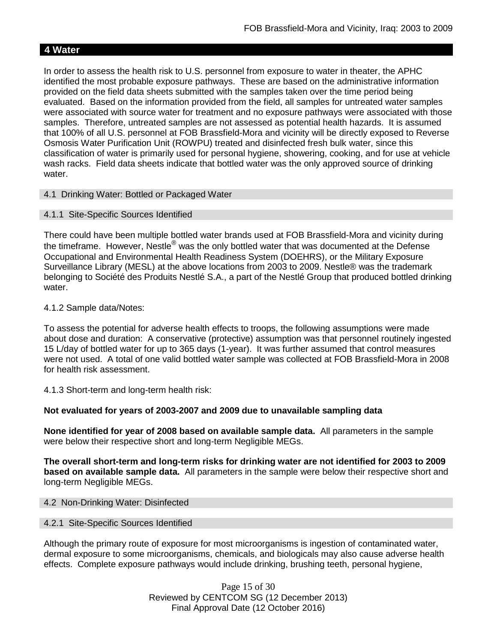# **4 Water**

In order to assess the health risk to U.S. personnel from exposure to water in theater, the APHC identified the most probable exposure pathways. These are based on the administrative information provided on the field data sheets submitted with the samples taken over the time period being evaluated. Based on the information provided from the field, all samples for untreated water samples were associated with source water for treatment and no exposure pathways were associated with those samples. Therefore, untreated samples are not assessed as potential health hazards. It is assumed that 100% of all U.S. personnel at FOB Brassfield-Mora and vicinity will be directly exposed to Reverse Osmosis Water Purification Unit (ROWPU) treated and disinfected fresh bulk water, since this classification of water is primarily used for personal hygiene, showering, cooking, and for use at vehicle wash racks. Field data sheets indicate that bottled water was the only approved source of drinking water.

4.1 Drinking Water: Bottled or Packaged Water

## 4.1.1 Site-Specific Sources Identified

There could have been multiple bottled water brands used at FOB Brassfield-Mora and vicinity during the timeframe. However, Nestle<sup>®</sup> was the only bottled water that was documented at the Defense Occupational and Environmental Health Readiness System (DOEHRS), or the Military Exposure Surveillance Library (MESL) at the above locations from 2003 to 2009. Nestle® was the trademark belonging to Société des Produits Nestlé S.A., a part of the Nestlé Group that produced bottled drinking water.

## 4.1.2 Sample data/Notes:

To assess the potential for adverse health effects to troops, the following assumptions were made about dose and duration: A conservative (protective) assumption was that personnel routinely ingested 15 L/day of bottled water for up to 365 days (1-year). It was further assumed that control measures were not used. A total of one valid bottled water sample was collected at FOB Brassfield-Mora in 2008 for health risk assessment.

4.1.3 Short-term and long-term health risk:

## **Not evaluated for years of 2003-2007 and 2009 due to unavailable sampling data**

**None identified for year of 2008 based on available sample data.** All parameters in the sample were below their respective short and long-term Negligible MEGs.

**The overall short-term and long-term risks for drinking water are not identified for 2003 to 2009 based on available sample data.** All parameters in the sample were below their respective short and long-term Negligible MEGs.

#### 4.2 Non-Drinking Water: Disinfected

## 4.2.1 Site-Specific Sources Identified

Although the primary route of exposure for most microorganisms is ingestion of contaminated water, dermal exposure to some microorganisms, chemicals, and biologicals may also cause adverse health effects. Complete exposure pathways would include drinking, brushing teeth, personal hygiene,

> Page 15 of 30 Reviewed by CENTCOM SG (12 December 2013) Final Approval Date (12 October 2016)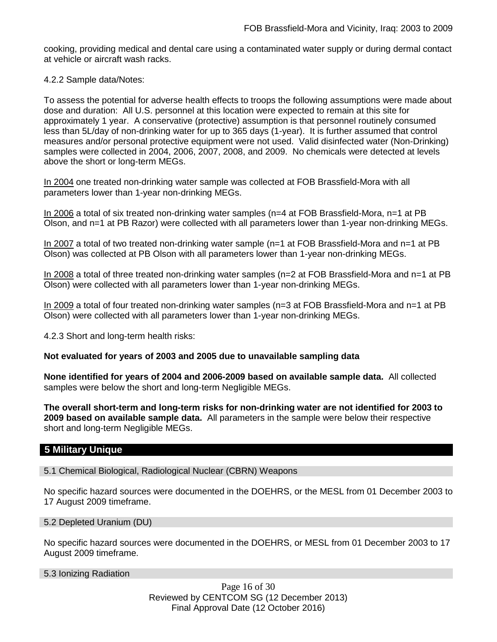cooking, providing medical and dental care using a contaminated water supply or during dermal contact at vehicle or aircraft wash racks.

## 4.2.2 Sample data/Notes:

To assess the potential for adverse health effects to troops the following assumptions were made about dose and duration: All U.S. personnel at this location were expected to remain at this site for approximately 1 year. A conservative (protective) assumption is that personnel routinely consumed less than 5L/day of non-drinking water for up to 365 days (1-year). It is further assumed that control measures and/or personal protective equipment were not used. Valid disinfected water (Non-Drinking) samples were collected in 2004, 2006, 2007, 2008, and 2009. No chemicals were detected at levels above the short or long-term MEGs.

In 2004 one treated non-drinking water sample was collected at FOB Brassfield-Mora with all parameters lower than 1-year non-drinking MEGs.

In 2006 a total of six treated non-drinking water samples (n=4 at FOB Brassfield-Mora, n=1 at PB Olson, and n=1 at PB Razor) were collected with all parameters lower than 1-year non-drinking MEGs.

In 2007 a total of two treated non-drinking water sample (n=1 at FOB Brassfield-Mora and n=1 at PB Olson) was collected at PB Olson with all parameters lower than 1-year non-drinking MEGs.

In 2008 a total of three treated non-drinking water samples (n=2 at FOB Brassfield-Mora and n=1 at PB Olson) were collected with all parameters lower than 1-year non-drinking MEGs.

In 2009 a total of four treated non-drinking water samples (n=3 at FOB Brassfield-Mora and n=1 at PB Olson) were collected with all parameters lower than 1-year non-drinking MEGs.

4.2.3 Short and long-term health risks:

## **Not evaluated for years of 2003 and 2005 due to unavailable sampling data**

**None identified for years of 2004 and 2006-2009 based on available sample data.** All collected samples were below the short and long-term Negligible MEGs.

**The overall short-term and long-term risks for non-drinking water are not identified for 2003 to 2009 based on available sample data.** All parameters in the sample were below their respective short and long-term Negligible MEGs.

## **5 Military Unique**

5.1 Chemical Biological, Radiological Nuclear (CBRN) Weapons

No specific hazard sources were documented in the DOEHRS, or the MESL from 01 December 2003 to 17 August 2009 timeframe.

5.2 Depleted Uranium (DU)

No specific hazard sources were documented in the DOEHRS, or MESL from 01 December 2003 to 17 August 2009 timeframe.

5.3 Ionizing Radiation

Page 16 of 30 Reviewed by CENTCOM SG (12 December 2013) Final Approval Date (12 October 2016)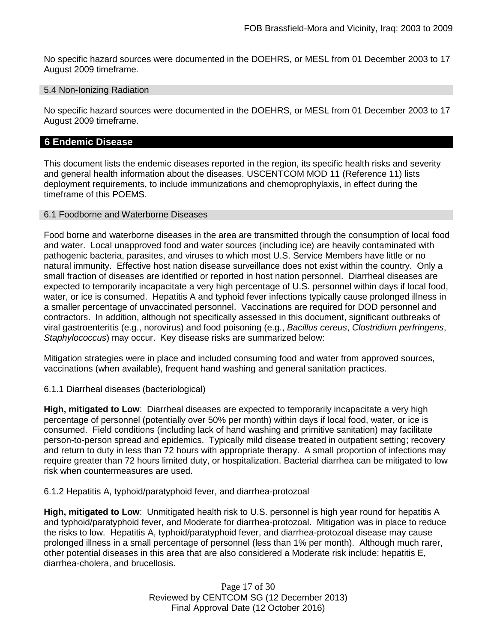No specific hazard sources were documented in the DOEHRS, or MESL from 01 December 2003 to 17 August 2009 timeframe.

## 5.4 Non-Ionizing Radiation

No specific hazard sources were documented in the DOEHRS, or MESL from 01 December 2003 to 17 August 2009 timeframe.

## **6 Endemic Disease**

This document lists the endemic diseases reported in the region, its specific health risks and severity and general health information about the diseases. USCENTCOM MOD 11 (Reference 11) lists deployment requirements, to include immunizations and chemoprophylaxis, in effect during the timeframe of this POEMS.

## 6.1 Foodborne and Waterborne Diseases

Food borne and waterborne diseases in the area are transmitted through the consumption of local food and water. Local unapproved food and water sources (including ice) are heavily contaminated with pathogenic bacteria, parasites, and viruses to which most U.S. Service Members have little or no natural immunity. Effective host nation disease surveillance does not exist within the country. Only a small fraction of diseases are identified or reported in host nation personnel. Diarrheal diseases are expected to temporarily incapacitate a very high percentage of U.S. personnel within days if local food, water, or ice is consumed. Hepatitis A and typhoid fever infections typically cause prolonged illness in a smaller percentage of unvaccinated personnel. Vaccinations are required for DOD personnel and contractors. In addition, although not specifically assessed in this document, significant outbreaks of viral gastroenteritis (e.g., norovirus) and food poisoning (e.g., *Bacillus cereus*, *Clostridium perfringens*, *Staphylococcus*) may occur. Key disease risks are summarized below:

Mitigation strategies were in place and included consuming food and water from approved sources, vaccinations (when available), frequent hand washing and general sanitation practices.

6.1.1 Diarrheal diseases (bacteriological)

**High, mitigated to Low**: Diarrheal diseases are expected to temporarily incapacitate a very high percentage of personnel (potentially over 50% per month) within days if local food, water, or ice is consumed. Field conditions (including lack of hand washing and primitive sanitation) may facilitate person-to-person spread and epidemics. Typically mild disease treated in outpatient setting; recovery and return to duty in less than 72 hours with appropriate therapy. A small proportion of infections may require greater than 72 hours limited duty, or hospitalization. Bacterial diarrhea can be mitigated to low risk when countermeasures are used.

6.1.2 Hepatitis A, typhoid/paratyphoid fever, and diarrhea-protozoal

**High, mitigated to Low**: Unmitigated health risk to U.S. personnel is high year round for hepatitis A and typhoid/paratyphoid fever, and Moderate for diarrhea-protozoal. Mitigation was in place to reduce the risks to low. Hepatitis A, typhoid/paratyphoid fever, and diarrhea-protozoal disease may cause prolonged illness in a small percentage of personnel (less than 1% per month). Although much rarer, other potential diseases in this area that are also considered a Moderate risk include: hepatitis E, diarrhea-cholera, and brucellosis.

> Page 17 of 30 Reviewed by CENTCOM SG (12 December 2013) Final Approval Date (12 October 2016)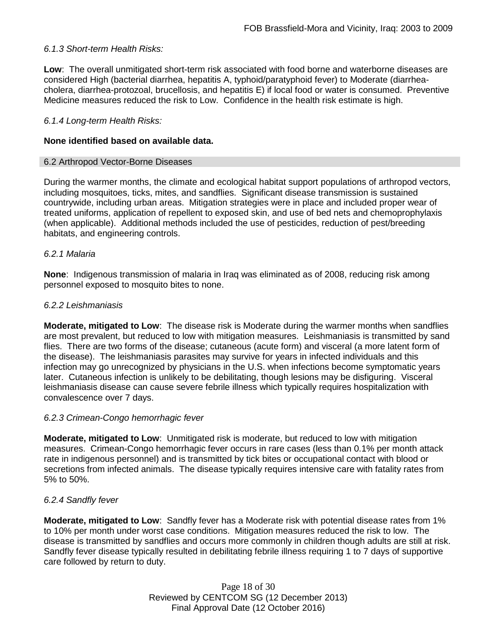## *6.1.3 Short-term Health Risks:*

**Low**: The overall unmitigated short-term risk associated with food borne and waterborne diseases are considered High (bacterial diarrhea, hepatitis A, typhoid/paratyphoid fever) to Moderate (diarrheacholera, diarrhea-protozoal, brucellosis, and hepatitis E) if local food or water is consumed. Preventive Medicine measures reduced the risk to Low. Confidence in the health risk estimate is high.

## *6.1.4 Long-term Health Risks:*

## **None identified based on available data.**

#### 6.2 Arthropod Vector-Borne Diseases

During the warmer months, the climate and ecological habitat support populations of arthropod vectors, including mosquitoes, ticks, mites, and sandflies. Significant disease transmission is sustained countrywide, including urban areas. Mitigation strategies were in place and included proper wear of treated uniforms, application of repellent to exposed skin, and use of bed nets and chemoprophylaxis (when applicable). Additional methods included the use of pesticides, reduction of pest/breeding habitats, and engineering controls.

#### *6.2.1 Malaria*

**None**: Indigenous transmission of malaria in Iraq was eliminated as of 2008, reducing risk among personnel exposed to mosquito bites to none.

#### *6.2.2 Leishmaniasis*

**Moderate, mitigated to Low**: The disease risk is Moderate during the warmer months when sandflies are most prevalent, but reduced to low with mitigation measures. Leishmaniasis is transmitted by sand flies. There are two forms of the disease; cutaneous (acute form) and visceral (a more latent form of the disease). The leishmaniasis parasites may survive for years in infected individuals and this infection may go unrecognized by physicians in the U.S. when infections become symptomatic years later. Cutaneous infection is unlikely to be debilitating, though lesions may be disfiguring. Visceral leishmaniasis disease can cause severe febrile illness which typically requires hospitalization with convalescence over 7 days.

#### *6.2.3 Crimean-Congo hemorrhagic fever*

**Moderate, mitigated to Low**: Unmitigated risk is moderate, but reduced to low with mitigation measures. Crimean-Congo hemorrhagic fever occurs in rare cases (less than 0.1% per month attack rate in indigenous personnel) and is transmitted by tick bites or occupational contact with blood or secretions from infected animals. The disease typically requires intensive care with fatality rates from 5% to 50%.

#### *6.2.4 Sandfly fever*

**Moderate, mitigated to Low**: Sandfly fever has a Moderate risk with potential disease rates from 1% to 10% per month under worst case conditions. Mitigation measures reduced the risk to low. The disease is transmitted by sandflies and occurs more commonly in children though adults are still at risk. Sandfly fever disease typically resulted in debilitating febrile illness requiring 1 to 7 days of supportive care followed by return to duty.

> Page 18 of 30 Reviewed by CENTCOM SG (12 December 2013) Final Approval Date (12 October 2016)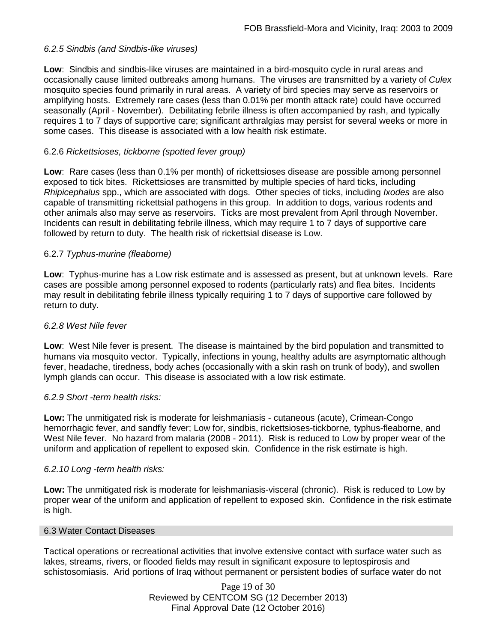## *6.2.5 Sindbis (and Sindbis-like viruses)*

**Low**: Sindbis and sindbis-like viruses are maintained in a bird-mosquito cycle in rural areas and occasionally cause limited outbreaks among humans. The viruses are transmitted by a variety of *Culex* mosquito species found primarily in rural areas. A variety of bird species may serve as reservoirs or amplifying hosts. Extremely rare cases (less than 0.01% per month attack rate) could have occurred seasonally (April - November). Debilitating febrile illness is often accompanied by rash, and typically requires 1 to 7 days of supportive care; significant arthralgias may persist for several weeks or more in some cases. This disease is associated with a low health risk estimate.

## 6.2.6 *Rickettsioses, tickborne (spotted fever group)*

**Low**: Rare cases (less than 0.1% per month) of rickettsioses disease are possible among personnel exposed to tick bites. Rickettsioses are transmitted by multiple species of hard ticks, including *Rhipicephalus* spp., which are associated with dogs. Other species of ticks, including *Ixodes* are also capable of transmitting rickettsial pathogens in this group. In addition to dogs, various rodents and other animals also may serve as reservoirs. Ticks are most prevalent from April through November. Incidents can result in debilitating febrile illness, which may require 1 to 7 days of supportive care followed by return to duty. The health risk of rickettsial disease is Low.

## 6.2.7 *Typhus-murine (fleaborne)*

**Low**: Typhus-murine has a Low risk estimate and is assessed as present, but at unknown levels. Rare cases are possible among personnel exposed to rodents (particularly rats) and flea bites. Incidents may result in debilitating febrile illness typically requiring 1 to 7 days of supportive care followed by return to duty.

## *6.2.8 West Nile fever*

**Low**: West Nile fever is present. The disease is maintained by the bird population and transmitted to humans via mosquito vector. Typically, infections in young, healthy adults are asymptomatic although fever, headache, tiredness, body aches (occasionally with a skin rash on trunk of body), and swollen lymph glands can occur. This disease is associated with a low risk estimate.

## *6.2.9 Short -term health risks:*

**Low:** The unmitigated risk is moderate for leishmaniasis - cutaneous (acute), Crimean-Congo hemorrhagic fever, and sandfly fever; Low for, sindbis, rickettsioses-tickborne*,* typhus-fleaborne, and West Nile fever. No hazard from malaria (2008 - 2011). Risk is reduced to Low by proper wear of the uniform and application of repellent to exposed skin. Confidence in the risk estimate is high.

#### *6.2.10 Long -term health risks:*

**Low:** The unmitigated risk is moderate for leishmaniasis-visceral (chronic). Risk is reduced to Low by proper wear of the uniform and application of repellent to exposed skin. Confidence in the risk estimate is high.

### 6.3 Water Contact Diseases

Tactical operations or recreational activities that involve extensive contact with surface water such as lakes, streams, rivers, or flooded fields may result in significant exposure to leptospirosis and schistosomiasis. Arid portions of Iraq without permanent or persistent bodies of surface water do not

> Page 19 of 30 Reviewed by CENTCOM SG (12 December 2013) Final Approval Date (12 October 2016)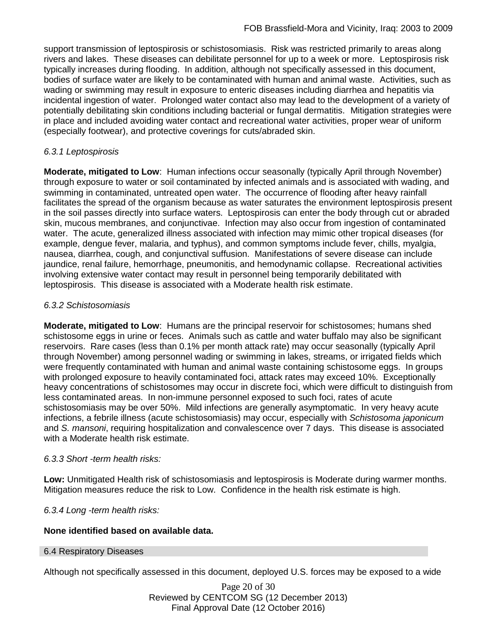support transmission of leptospirosis or schistosomiasis. Risk was restricted primarily to areas along rivers and lakes. These diseases can debilitate personnel for up to a week or more. Leptospirosis risk typically increases during flooding. In addition, although not specifically assessed in this document, bodies of surface water are likely to be contaminated with human and animal waste. Activities, such as wading or swimming may result in exposure to enteric diseases including diarrhea and hepatitis via incidental ingestion of water. Prolonged water contact also may lead to the development of a variety of potentially debilitating skin conditions including bacterial or fungal dermatitis. Mitigation strategies were in place and included avoiding water contact and recreational water activities, proper wear of uniform (especially footwear), and protective coverings for cuts/abraded skin.

## *6.3.1 Leptospirosis*

**Moderate, mitigated to Low**: Human infections occur seasonally (typically April through November) through exposure to water or soil contaminated by infected animals and is associated with wading, and swimming in contaminated, untreated open water. The occurrence of flooding after heavy rainfall facilitates the spread of the organism because as water saturates the environment leptospirosis present in the soil passes directly into surface waters. Leptospirosis can enter the body through cut or abraded skin, mucous membranes, and conjunctivae. Infection may also occur from ingestion of contaminated water. The acute, generalized illness associated with infection may mimic other tropical diseases (for example, dengue fever, malaria, and typhus), and common symptoms include fever, chills, myalgia, nausea, diarrhea, cough, and conjunctival suffusion. Manifestations of severe disease can include jaundice, renal failure, hemorrhage, pneumonitis, and hemodynamic collapse. Recreational activities involving extensive water contact may result in personnel being temporarily debilitated with leptospirosis. This disease is associated with a Moderate health risk estimate.

## *6.3.2 Schistosomiasis*

**Moderate, mitigated to Low**: Humans are the principal reservoir for schistosomes; humans shed schistosome eggs in urine or feces. Animals such as cattle and water buffalo may also be significant reservoirs. Rare cases (less than 0.1% per month attack rate) may occur seasonally (typically April through November) among personnel wading or swimming in lakes, streams, or irrigated fields which were frequently contaminated with human and animal waste containing schistosome eggs. In groups with prolonged exposure to heavily contaminated foci, attack rates may exceed 10%. Exceptionally heavy concentrations of schistosomes may occur in discrete foci, which were difficult to distinguish from less contaminated areas. In non-immune personnel exposed to such foci, rates of acute schistosomiasis may be over 50%. Mild infections are generally asymptomatic. In very heavy acute infections, a febrile illness (acute schistosomiasis) may occur, especially with *Schistosoma japonicum*  and *S. mansoni*, requiring hospitalization and convalescence over 7 days. This disease is associated with a Moderate health risk estimate.

## *6.3.3 Short -term health risks:*

**Low:** Unmitigated Health risk of schistosomiasis and leptospirosis is Moderate during warmer months. Mitigation measures reduce the risk to Low. Confidence in the health risk estimate is high.

*6.3.4 Long -term health risks:*

## **None identified based on available data.**

#### 6.4 Respiratory Diseases

Although not specifically assessed in this document, deployed U.S. forces may be exposed to a wide

Page 20 of 30 Reviewed by CENTCOM SG (12 December 2013) Final Approval Date (12 October 2016)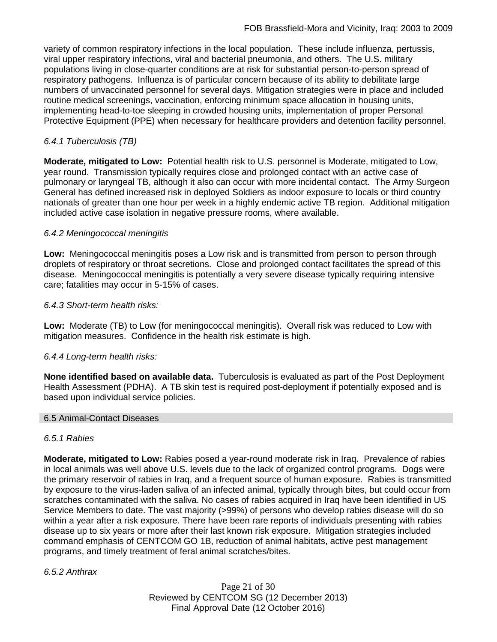variety of common respiratory infections in the local population. These include influenza, pertussis, viral upper respiratory infections, viral and bacterial pneumonia, and others. The U.S. military populations living in close-quarter conditions are at risk for substantial person-to-person spread of respiratory pathogens. Influenza is of particular concern because of its ability to debilitate large numbers of unvaccinated personnel for several days. Mitigation strategies were in place and included routine medical screenings, vaccination, enforcing minimum space allocation in housing units, implementing head-to-toe sleeping in crowded housing units, implementation of proper Personal Protective Equipment (PPE) when necessary for healthcare providers and detention facility personnel.

## *6.4.1 Tuberculosis (TB)*

**Moderate, mitigated to Low:** Potential health risk to U.S. personnel is Moderate, mitigated to Low, year round. Transmission typically requires close and prolonged contact with an active case of pulmonary or laryngeal TB, although it also can occur with more incidental contact. The Army Surgeon General has defined increased risk in deployed Soldiers as indoor exposure to locals or third country nationals of greater than one hour per week in a highly endemic active TB region. Additional mitigation included active case isolation in negative pressure rooms, where available.

## *6.4.2 Meningococcal meningitis*

**Low:** Meningococcal meningitis poses a Low risk and is transmitted from person to person through droplets of respiratory or throat secretions. Close and prolonged contact facilitates the spread of this disease. Meningococcal meningitis is potentially a very severe disease typically requiring intensive care; fatalities may occur in 5-15% of cases.

## *6.4.3 Short-term health risks:*

**Low:** Moderate (TB) to Low (for meningococcal meningitis). Overall risk was reduced to Low with mitigation measures. Confidence in the health risk estimate is high.

## *6.4.4 Long-term health risks:*

**None identified based on available data.** Tuberculosis is evaluated as part of the Post Deployment Health Assessment (PDHA). A TB skin test is required post-deployment if potentially exposed and is based upon individual service policies.

#### 6.5 Animal-Contact Diseases

#### *6.5.1 Rabies*

**Moderate, mitigated to Low:** Rabies posed a year-round moderate risk in Iraq. Prevalence of rabies in local animals was well above U.S. levels due to the lack of organized control programs. Dogs were the primary reservoir of rabies in Iraq, and a frequent source of human exposure. Rabies is transmitted by exposure to the virus-laden saliva of an infected animal, typically through bites, but could occur from scratches contaminated with the saliva. No cases of rabies acquired in Iraq have been identified in US Service Members to date. The vast majority (>99%) of persons who develop rabies disease will do so within a year after a risk exposure. There have been rare reports of individuals presenting with rabies disease up to six years or more after their last known risk exposure. Mitigation strategies included command emphasis of CENTCOM GO 1B, reduction of animal habitats, active pest management programs, and timely treatment of feral animal scratches/bites.

*6.5.2 Anthrax*

Page 21 of 30 Reviewed by CENTCOM SG (12 December 2013) Final Approval Date (12 October 2016)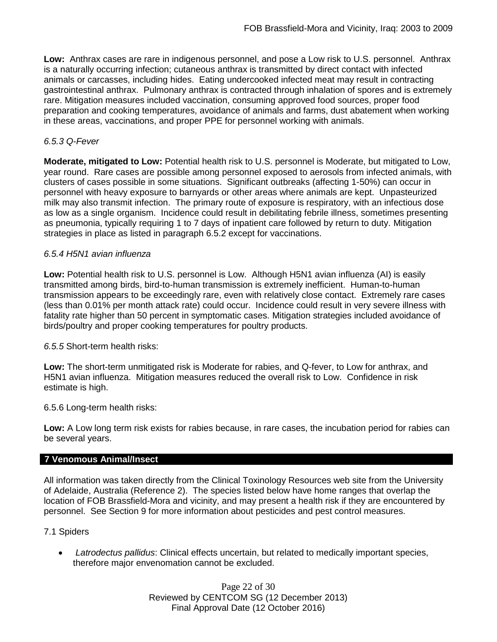**Low:** Anthrax cases are rare in indigenous personnel, and pose a Low risk to U.S. personnel. Anthrax is a naturally occurring infection; cutaneous anthrax is transmitted by direct contact with infected animals or carcasses, including hides. Eating undercooked infected meat may result in contracting gastrointestinal anthrax. Pulmonary anthrax is contracted through inhalation of spores and is extremely rare. Mitigation measures included vaccination, consuming approved food sources, proper food preparation and cooking temperatures, avoidance of animals and farms, dust abatement when working in these areas, vaccinations, and proper PPE for personnel working with animals.

## *6.5.3 Q-Fever*

**Moderate, mitigated to Low:** Potential health risk to U.S. personnel is Moderate, but mitigated to Low, year round. Rare cases are possible among personnel exposed to aerosols from infected animals, with clusters of cases possible in some situations. Significant outbreaks (affecting 1-50%) can occur in personnel with heavy exposure to barnyards or other areas where animals are kept. Unpasteurized milk may also transmit infection. The primary route of exposure is respiratory, with an infectious dose as low as a single organism. Incidence could result in debilitating febrile illness, sometimes presenting as pneumonia, typically requiring 1 to 7 days of inpatient care followed by return to duty. Mitigation strategies in place as listed in paragraph 6.5.2 except for vaccinations.

## *6.5.4 H5N1 avian influenza*

**Low:** Potential health risk to U.S. personnel is Low. Although H5N1 avian influenza (AI) is easily transmitted among birds, bird-to-human transmission is extremely inefficient. Human-to-human transmission appears to be exceedingly rare, even with relatively close contact. Extremely rare cases (less than 0.01% per month attack rate) could occur. Incidence could result in very severe illness with fatality rate higher than 50 percent in symptomatic cases. Mitigation strategies included avoidance of birds/poultry and proper cooking temperatures for poultry products.

#### *6.5.5* Short-term health risks:

**Low:** The short-term unmitigated risk is Moderate for rabies, and Q-fever, to Low for anthrax, and H5N1 avian influenza. Mitigation measures reduced the overall risk to Low.Confidence in risk estimate is high.

6.5.6 Long-term health risks:

**Low:** A Low long term risk exists for rabies because, in rare cases, the incubation period for rabies can be several years.

## **7 Venomous Animal/Insect**

All information was taken directly from the Clinical Toxinology Resources web site from the University of Adelaide, Australia (Reference 2). The species listed below have home ranges that overlap the location of FOB Brassfield-Mora and vicinity, and may present a health risk if they are encountered by personnel. See Section 9 for more information about pesticides and pest control measures.

#### 7.1 Spiders

• *Latrodectus pallidus*: Clinical effects uncertain, but related to medically important species, therefore major envenomation cannot be excluded.

> Page 22 of 30 Reviewed by CENTCOM SG (12 December 2013) Final Approval Date (12 October 2016)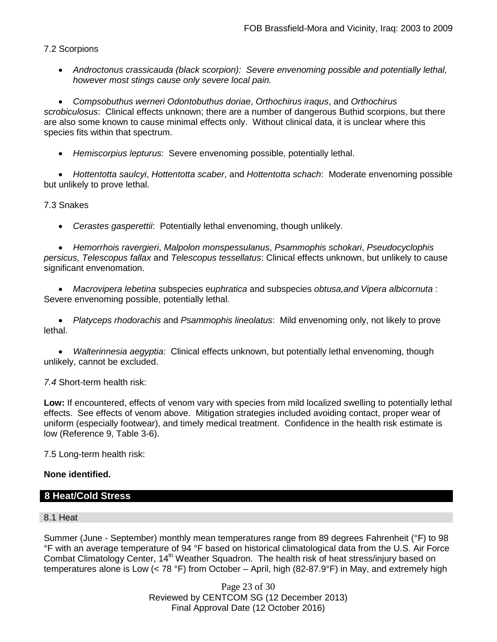7.2 Scorpions

• *Androctonus crassicauda (black scorpion): Severe envenoming possible and potentially lethal, however most stings cause only severe local pain.* 

• *Compsobuthus werneri Odontobuthus doriae*, *Orthochirus iraqus*, and *Orthochirus scrobiculosus*: Clinical effects unknown; there are a number of dangerous Buthid scorpions, but there are also some known to cause minimal effects only. Without clinical data, it is unclear where this species fits within that spectrum.

• *Hemiscorpius lepturus*: Severe envenoming possible, potentially lethal.

• *Hottentotta saulcyi*, *Hottentotta scaber*, and *Hottentotta schach*: Moderate envenoming possible but unlikely to prove lethal.

## 7.3 Snakes

• *Cerastes gasperettii*: Potentially lethal envenoming, though unlikely.

• *Hemorrhois ravergieri*, *Malpolon monspessulanus*, *Psammophis schokari*, *Pseudocyclophis persicus, Telescopus fallax* and *Telescopus tessellatus*: Clinical effects unknown, but unlikely to cause significant envenomation.

• *Macrovipera lebetina* subspecies e*uphratica* and subspecies *obtusa,and Vipera albicornuta* : Severe envenoming possible, potentially lethal.

• *Platyceps rhodorachis* and *Psammophis lineolatus*: Mild envenoming only, not likely to prove lethal.

• *Walterinnesia aegyptia*: Clinical effects unknown, but potentially lethal envenoming, though unlikely, cannot be excluded.

## *7.4* Short-term health risk:

**Low:** If encountered, effects of venom vary with species from mild localized swelling to potentially lethal effects. See effects of venom above. Mitigation strategies included avoiding contact, proper wear of uniform (especially footwear), and timely medical treatment. Confidence in the health risk estimate is low (Reference 9, Table 3-6).

7.5 Long-term health risk:

## **None identified.**

# **8 Heat/Cold Stress**

## 8.1 Heat

Summer (June - September) monthly mean temperatures range from 89 degrees Fahrenheit (°F) to 98 °F with an average temperature of 94 °F based on historical climatological data from the U.S. Air Force Combat Climatology Center, 14<sup>th</sup> Weather Squadron. The health risk of heat stress/injury based on temperatures alone is Low (< 78 °F) from October – April, high (82-87.9°F) in May, and extremely high

> Page 23 of 30 Reviewed by CENTCOM SG (12 December 2013) Final Approval Date (12 October 2016)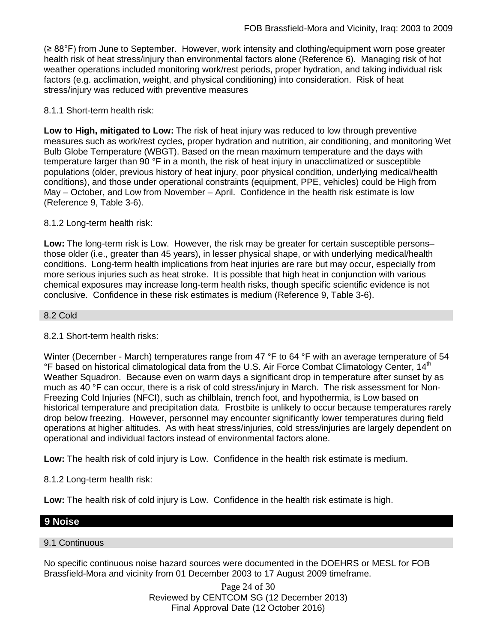(≥ 88°F) from June to September. However, work intensity and clothing/equipment worn pose greater health risk of heat stress/injury than environmental factors alone (Reference 6). Managing risk of hot weather operations included monitoring work/rest periods, proper hydration, and taking individual risk factors (e.g. acclimation, weight, and physical conditioning) into consideration. Risk of heat stress/injury was reduced with preventive measures

## 8.1.1 Short-term health risk:

**Low to High, mitigated to Low:** The risk of heat injury was reduced to low through preventive measures such as work/rest cycles, proper hydration and nutrition, air conditioning, and monitoring Wet Bulb Globe Temperature (WBGT). Based on the mean maximum temperature and the days with temperature larger than 90 °F in a month, the risk of heat injury in unacclimatized or susceptible populations (older, previous history of heat injury, poor physical condition, underlying medical/health conditions), and those under operational constraints (equipment, PPE, vehicles) could be High from May – October, and Low from November – April. Confidence in the health risk estimate is low (Reference 9, Table 3-6).

## 8.1.2 Long-term health risk:

**Low:** The long-term risk is Low. However, the risk may be greater for certain susceptible persons– those older (i.e., greater than 45 years), in lesser physical shape, or with underlying medical/health conditions. Long-term health implications from heat injuries are rare but may occur, especially from more serious injuries such as heat stroke. It is possible that high heat in conjunction with various chemical exposures may increase long-term health risks, though specific scientific evidence is not conclusive. Confidence in these risk estimates is medium (Reference 9, Table 3-6).

#### 8.2 Cold

## 8.2.1 Short-term health risks:

Winter (December - March) temperatures range from 47 °F to 64 °F with an average temperature of 54 °F based on historical climatological data from the U.S. Air Force Combat Climatology Center, 14<sup>th</sup> Weather Squadron. Because even on warm days a significant drop in temperature after sunset by as much as 40 °F can occur, there is a risk of cold stress/injury in March. The risk assessment for Non-Freezing Cold Injuries (NFCI), such as chilblain, trench foot, and hypothermia, is Low based on historical temperature and precipitation data. Frostbite is unlikely to occur because temperatures rarely drop below freezing. However, personnel may encounter significantly lower temperatures during field operations at higher altitudes. As with heat stress/injuries, cold stress/injuries are largely dependent on operational and individual factors instead of environmental factors alone.

**Low:** The health risk of cold injury is Low. Confidence in the health risk estimate is medium.

8.1.2 Long-term health risk:

**Low:** The health risk of cold injury is Low. Confidence in the health risk estimate is high.

## **9 Noise**

#### 9.1 Continuous

No specific continuous noise hazard sources were documented in the DOEHRS or MESL for FOB Brassfield-Mora and vicinity from 01 December 2003 to 17 August 2009 timeframe.

> Page 24 of 30 Reviewed by CENTCOM SG (12 December 2013) Final Approval Date (12 October 2016)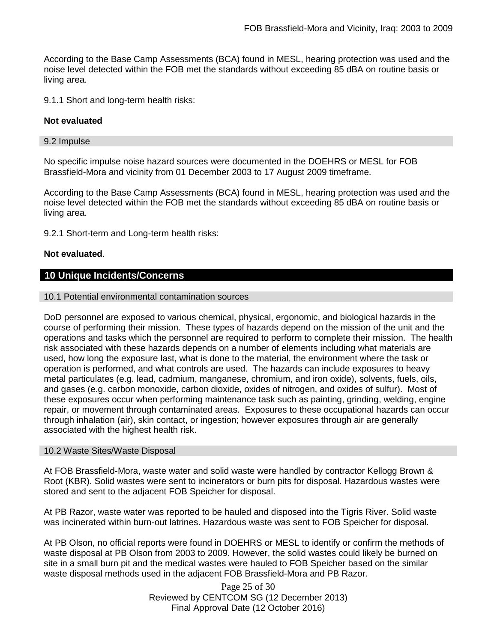According to the Base Camp Assessments (BCA) found in MESL, hearing protection was used and the noise level detected within the FOB met the standards without exceeding 85 dBA on routine basis or living area.

9.1.1 Short and long-term health risks:

## **Not evaluated**

#### 9.2 Impulse

No specific impulse noise hazard sources were documented in the DOEHRS or MESL for FOB Brassfield-Mora and vicinity from 01 December 2003 to 17 August 2009 timeframe.

According to the Base Camp Assessments (BCA) found in MESL, hearing protection was used and the noise level detected within the FOB met the standards without exceeding 85 dBA on routine basis or living area.

9.2.1 Short-term and Long-term health risks:

## **Not evaluated**.

## **10 Unique Incidents/Concerns**

#### 10.1 Potential environmental contamination sources

DoD personnel are exposed to various chemical, physical, ergonomic, and biological hazards in the course of performing their mission. These types of hazards depend on the mission of the unit and the operations and tasks which the personnel are required to perform to complete their mission. The health risk associated with these hazards depends on a number of elements including what materials are used, how long the exposure last, what is done to the material, the environment where the task or operation is performed, and what controls are used. The hazards can include exposures to heavy metal particulates (e.g. lead, cadmium, manganese, chromium, and iron oxide), solvents, fuels, oils, and gases (e.g. carbon monoxide, carbon dioxide, oxides of nitrogen, and oxides of sulfur). Most of these exposures occur when performing maintenance task such as painting, grinding, welding, engine repair, or movement through contaminated areas. Exposures to these occupational hazards can occur through inhalation (air), skin contact, or ingestion; however exposures through air are generally associated with the highest health risk.

#### 10.2 Waste Sites/Waste Disposal

At FOB Brassfield-Mora, waste water and solid waste were handled by contractor Kellogg Brown & Root (KBR). Solid wastes were sent to incinerators or burn pits for disposal. Hazardous wastes were stored and sent to the adjacent FOB Speicher for disposal.

At PB Razor, waste water was reported to be hauled and disposed into the Tigris River. Solid waste was incinerated within burn-out latrines. Hazardous waste was sent to FOB Speicher for disposal.

At PB Olson, no official reports were found in DOEHRS or MESL to identify or confirm the methods of waste disposal at PB Olson from 2003 to 2009. However, the solid wastes could likely be burned on site in a small burn pit and the medical wastes were hauled to FOB Speicher based on the similar waste disposal methods used in the adjacent FOB Brassfield-Mora and PB Razor.

> Page 25 of 30 Reviewed by CENTCOM SG (12 December 2013) Final Approval Date (12 October 2016)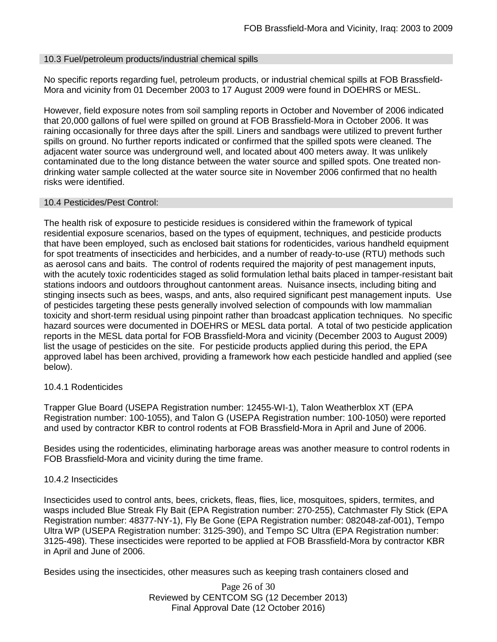## 10.3 Fuel/petroleum products/industrial chemical spills

No specific reports regarding fuel, petroleum products, or industrial chemical spills at FOB Brassfield-Mora and vicinity from 01 December 2003 to 17 August 2009 were found in DOEHRS or MESL.

However, field exposure notes from soil sampling reports in October and November of 2006 indicated that 20,000 gallons of fuel were spilled on ground at FOB Brassfield-Mora in October 2006. It was raining occasionally for three days after the spill. Liners and sandbags were utilized to prevent further spills on ground. No further reports indicated or confirmed that the spilled spots were cleaned. The adjacent water source was underground well, and located about 400 meters away. It was unlikely contaminated due to the long distance between the water source and spilled spots. One treated nondrinking water sample collected at the water source site in November 2006 confirmed that no health risks were identified.

## 10.4 Pesticides/Pest Control:

The health risk of exposure to pesticide residues is considered within the framework of typical residential exposure scenarios, based on the types of equipment, techniques, and pesticide products that have been employed, such as enclosed bait stations for rodenticides, various handheld equipment for spot treatments of insecticides and herbicides, and a number of ready-to-use (RTU) methods such as aerosol cans and baits. The control of rodents required the majority of pest management inputs, with the acutely toxic rodenticides staged as solid formulation lethal baits placed in tamper-resistant bait stations indoors and outdoors throughout cantonment areas. Nuisance insects, including biting and stinging insects such as bees, wasps, and ants, also required significant pest management inputs. Use of pesticides targeting these pests generally involved selection of compounds with low mammalian toxicity and short-term residual using pinpoint rather than broadcast application techniques. No specific hazard sources were documented in DOEHRS or MESL data portal. A total of two pesticide application reports in the MESL data portal for FOB Brassfield-Mora and vicinity (December 2003 to August 2009) list the usage of pesticides on the site. For pesticide products applied during this period, the EPA approved label has been archived, providing a framework how each pesticide handled and applied (see below).

## 10.4.1 Rodenticides

Trapper Glue Board (USEPA Registration number: 12455-WI-1), Talon Weatherblox XT (EPA Registration number: 100-1055), and Talon G (USEPA Registration number: 100-1050) were reported and used by contractor KBR to control rodents at FOB Brassfield-Mora in April and June of 2006.

Besides using the rodenticides, eliminating harborage areas was another measure to control rodents in FOB Brassfield-Mora and vicinity during the time frame.

## 10.4.2 Insecticides

Insecticides used to control ants, bees, crickets, fleas, flies, lice, mosquitoes, spiders, termites, and wasps included Blue Streak Fly Bait (EPA Registration number: 270-255), Catchmaster Fly Stick (EPA Registration number: 48377-NY-1), Fly Be Gone (EPA Registration number: 082048-zaf-001), Tempo Ultra WP (USEPA Registration number: 3125-390), and Tempo SC Ultra (EPA Registration number: 3125-498). These insecticides were reported to be applied at FOB Brassfield-Mora by contractor KBR in April and June of 2006.

Besides using the insecticides, other measures such as keeping trash containers closed and

Page 26 of 30 Reviewed by CENTCOM SG (12 December 2013) Final Approval Date (12 October 2016)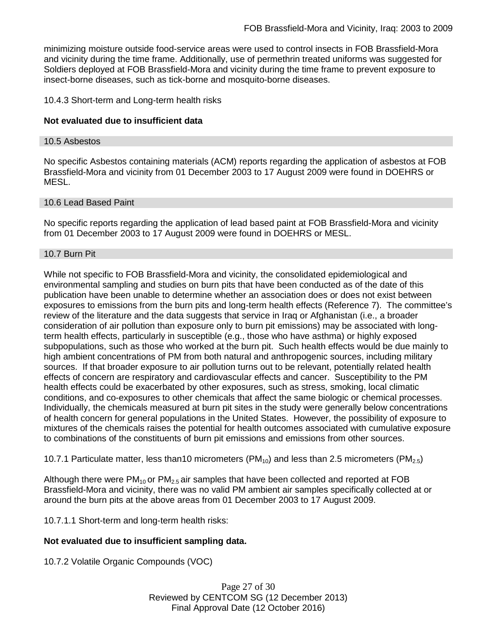minimizing moisture outside food-service areas were used to control insects in FOB Brassfield-Mora and vicinity during the time frame. Additionally, use of permethrin treated uniforms was suggested for Soldiers deployed at FOB Brassfield-Mora and vicinity during the time frame to prevent exposure to insect-borne diseases, such as tick-borne and mosquito-borne diseases.

## 10.4.3 Short-term and Long-term health risks

## **Not evaluated due to insufficient data**

#### 10.5 Asbestos

No specific Asbestos containing materials (ACM) reports regarding the application of asbestos at FOB Brassfield-Mora and vicinity from 01 December 2003 to 17 August 2009 were found in DOEHRS or MESL.

## 10.6 Lead Based Paint

No specific reports regarding the application of lead based paint at FOB Brassfield-Mora and vicinity from 01 December 2003 to 17 August 2009 were found in DOEHRS or MESL.

#### 10.7 Burn Pit

While not specific to FOB Brassfield-Mora and vicinity, the consolidated epidemiological and environmental sampling and studies on burn pits that have been conducted as of the date of this publication have been unable to determine whether an association does or does not exist between exposures to emissions from the burn pits and long-term health effects (Reference 7). The committee's review of the literature and the data suggests that service in Iraq or Afghanistan (i.e., a broader consideration of air pollution than exposure only to burn pit emissions) may be associated with longterm health effects, particularly in susceptible (e.g., those who have asthma) or highly exposed subpopulations, such as those who worked at the burn pit. Such health effects would be due mainly to high ambient concentrations of PM from both natural and anthropogenic sources, including military sources. If that broader exposure to air pollution turns out to be relevant, potentially related health effects of concern are respiratory and cardiovascular effects and cancer. Susceptibility to the PM health effects could be exacerbated by other exposures, such as stress, smoking, local climatic conditions, and co-exposures to other chemicals that affect the same biologic or chemical processes. Individually, the chemicals measured at burn pit sites in the study were generally below concentrations of health concern for general populations in the United States. However, the possibility of exposure to mixtures of the chemicals raises the potential for health outcomes associated with cumulative exposure to combinations of the constituents of burn pit emissions and emissions from other sources.

10.7.1 Particulate matter, less than10 micrometers (PM<sub>10</sub>) and less than 2.5 micrometers (PM<sub>2.5</sub>)

Although there were  $PM_{10}$  or  $PM_{2.5}$  air samples that have been collected and reported at FOB Brassfield-Mora and vicinity, there was no valid PM ambient air samples specifically collected at or around the burn pits at the above areas from 01 December 2003 to 17 August 2009.

10.7.1.1 Short-term and long-term health risks:

## **Not evaluated due to insufficient sampling data.**

10.7.2 Volatile Organic Compounds (VOC)

Page 27 of 30 Reviewed by CENTCOM SG (12 December 2013) Final Approval Date (12 October 2016)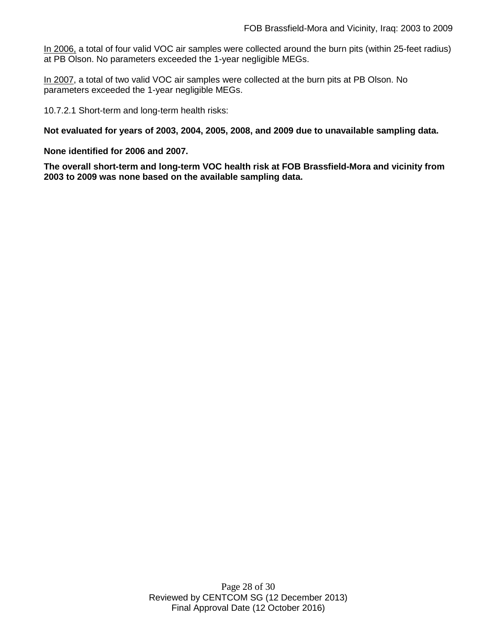In 2006, a total of four valid VOC air samples were collected around the burn pits (within 25-feet radius) at PB Olson. No parameters exceeded the 1-year negligible MEGs.

In 2007, a total of two valid VOC air samples were collected at the burn pits at PB Olson. No parameters exceeded the 1-year negligible MEGs.

10.7.2.1 Short-term and long-term health risks:

**Not evaluated for years of 2003, 2004, 2005, 2008, and 2009 due to unavailable sampling data.**

**None identified for 2006 and 2007.** 

**The overall short-term and long-term VOC health risk at FOB Brassfield-Mora and vicinity from 2003 to 2009 was none based on the available sampling data.**

> Page 28 of 30 Reviewed by CENTCOM SG (12 December 2013) Final Approval Date (12 October 2016)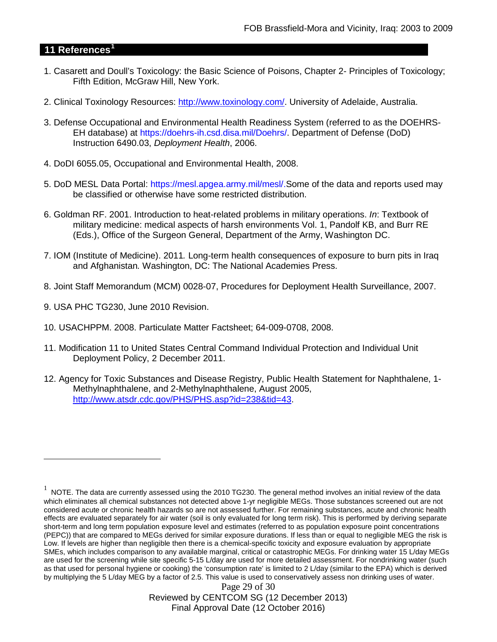## **11 References[1](#page-28-0)**

- 1. Casarett and Doull's Toxicology: the Basic Science of Poisons, Chapter 2- Principles of Toxicology; Fifth Edition, McGraw Hill, New York.
- 2. Clinical Toxinology Resources: [http://www.toxinology.com/.](http://www.toxinology.com/) University of Adelaide, Australia.
- 3. Defense Occupational and Environmental Health Readiness System (referred to as the DOEHRS-EH database) at https://doehrs-ih.csd.disa.mil/Doehrs/. Department of Defense (DoD) Instruction 6490.03, *Deployment Health*, 2006.
- 4. DoDI 6055.05, Occupational and Environmental Health, 2008.
- 5. DoD MESL Data Portal: https://mesl.apgea.army.mil/mesl/.Some of the data and reports used may be classified or otherwise have some restricted distribution.
- 6. Goldman RF. 2001. Introduction to heat-related problems in military operations. *In*: Textbook of military medicine: medical aspects of harsh environments Vol. 1, Pandolf KB, and Burr RE (Eds.), Office of the Surgeon General, Department of the Army, Washington DC.
- 7. IOM (Institute of Medicine). 2011*.* Long-term health consequences of exposure to burn pits in Iraq and Afghanistan*.* Washington, DC: The National Academies Press.
- 8. Joint Staff Memorandum (MCM) 0028-07, Procedures for Deployment Health Surveillance, 2007.
- 9. USA PHC TG230, June 2010 Revision.

 $\overline{a}$ 

- 10. USACHPPM. 2008. Particulate Matter Factsheet; 64-009-0708, 2008.
- 11. Modification 11 to United States Central Command Individual Protection and Individual Unit Deployment Policy, 2 December 2011.
- 12. Agency for Toxic Substances and Disease Registry, Public Health Statement for Naphthalene, 1- Methylnaphthalene, and 2-Methylnaphthalene, August 2005, [http://www.atsdr.cdc.gov/PHS/PHS.asp?id=238&tid=43.](http://www.atsdr.cdc.gov/PHS/PHS.asp?id=238&tid=43)

Page 29 of 30 Reviewed by CENTCOM SG (12 December 2013) Final Approval Date (12 October 2016)

<span id="page-28-0"></span> $1$  NOTE. The data are currently assessed using the 2010 TG230. The general method involves an initial review of the data which eliminates all chemical substances not detected above 1-yr negligible MEGs. Those substances screened out are not considered acute or chronic health hazards so are not assessed further. For remaining substances, acute and chronic health effects are evaluated separately for air water (soil is only evaluated for long term risk). This is performed by deriving separate short-term and long term population exposure level and estimates (referred to as population exposure point concentrations (PEPC)) that are compared to MEGs derived for similar exposure durations. If less than or equal to negligible MEG the risk is Low. If levels are higher than negligible then there is a chemical-specific toxicity and exposure evaluation by appropriate SMEs, which includes comparison to any available marginal, critical or catastrophic MEGs. For drinking water 15 L/day MEGs are used for the screening while site specific 5-15 L/day are used for more detailed assessment. For nondrinking water (such as that used for personal hygiene or cooking) the 'consumption rate' is limited to 2 L/day (similar to the EPA) which is derived by multiplying the 5 L/day MEG by a factor of 2.5. This value is used to conservatively assess non drinking uses of water.